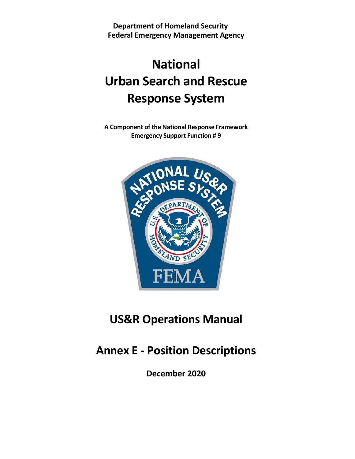**Department of Homeland Security Federal Emergency Management Agency**

# **National Urban Search and Rescue Response System**

**A Component of the National Response Framework Emergency Support Function # 9**



## **US&R Operations Manual**

## **Annex E - Position Descriptions**

**December 2020**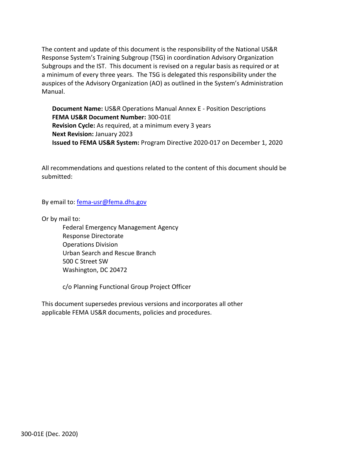The content and update of this document is the responsibility of the National US&R Response System's Training Subgroup (TSG) in coordination Advisory Organization Subgroups and the IST. This document is revised on a regular basis as required or at a minimum of every three years. The TSG is delegated this responsibility under the auspices of the Advisory Organization (AO) as outlined in the System's Administration Manual.

**Document Name:** US&R Operations Manual Annex E - Position Descriptions **FEMA US&R Document Number:** 300-01E **Revision Cycle:** As required, at a minimum every 3 years **Next Revision:** January 2023 **Issued to FEMA US&R System:** Program Directive 2020-017 on December 1, 2020

All recommendations and questions related to the content of this document should be submitted:

By email to: [fema-usr@fema.dhs.gov](mailto:fema-usr@fema.dhs.gov)

Or by mail to:

Federal Emergency Management Agency Response Directorate Operations Division Urban Search and Rescue Branch 500 C Street SW Washington, DC 20472

c/o Planning Functional Group Project Officer

This document supersedes previous versions and incorporates all other applicable FEMA US&R documents, policies and procedures.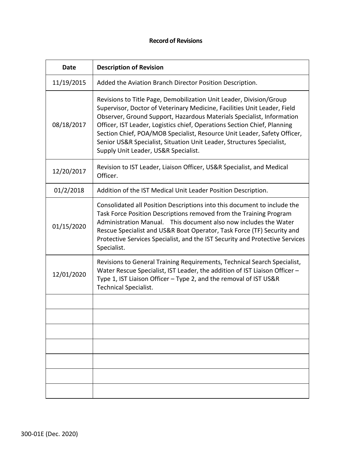### **Record of Revisions**

| Date       | <b>Description of Revision</b>                                                                                                                                                                                                                                                                                                                                                                                                                                                                    |
|------------|---------------------------------------------------------------------------------------------------------------------------------------------------------------------------------------------------------------------------------------------------------------------------------------------------------------------------------------------------------------------------------------------------------------------------------------------------------------------------------------------------|
| 11/19/2015 | Added the Aviation Branch Director Position Description.                                                                                                                                                                                                                                                                                                                                                                                                                                          |
| 08/18/2017 | Revisions to Title Page, Demobilization Unit Leader, Division/Group<br>Supervisor, Doctor of Veterinary Medicine, Facilities Unit Leader, Field<br>Observer, Ground Support, Hazardous Materials Specialist, Information<br>Officer, IST Leader, Logistics chief, Operations Section Chief, Planning<br>Section Chief, POA/MOB Specialist, Resource Unit Leader, Safety Officer,<br>Senior US&R Specialist, Situation Unit Leader, Structures Specialist,<br>Supply Unit Leader, US&R Specialist. |
| 12/20/2017 | Revision to IST Leader, Liaison Officer, US&R Specialist, and Medical<br>Officer.                                                                                                                                                                                                                                                                                                                                                                                                                 |
| 01/2/2018  | Addition of the IST Medical Unit Leader Position Description.                                                                                                                                                                                                                                                                                                                                                                                                                                     |
| 01/15/2020 | Consolidated all Position Descriptions into this document to include the<br>Task Force Position Descriptions removed from the Training Program<br>Administration Manual. This document also now includes the Water<br>Rescue Specialist and US&R Boat Operator, Task Force (TF) Security and<br>Protective Services Specialist, and the IST Security and Protective Services<br>Specialist.                                                                                                       |
| 12/01/2020 | Revisions to General Training Requirements, Technical Search Specialist,<br>Water Rescue Specialist, IST Leader, the addition of IST Liaison Officer -<br>Type 1, IST Liaison Officer - Type 2, and the removal of IST US&R<br><b>Technical Specialist.</b>                                                                                                                                                                                                                                       |
|            |                                                                                                                                                                                                                                                                                                                                                                                                                                                                                                   |
|            |                                                                                                                                                                                                                                                                                                                                                                                                                                                                                                   |
|            |                                                                                                                                                                                                                                                                                                                                                                                                                                                                                                   |
|            |                                                                                                                                                                                                                                                                                                                                                                                                                                                                                                   |
|            |                                                                                                                                                                                                                                                                                                                                                                                                                                                                                                   |
|            |                                                                                                                                                                                                                                                                                                                                                                                                                                                                                                   |
|            |                                                                                                                                                                                                                                                                                                                                                                                                                                                                                                   |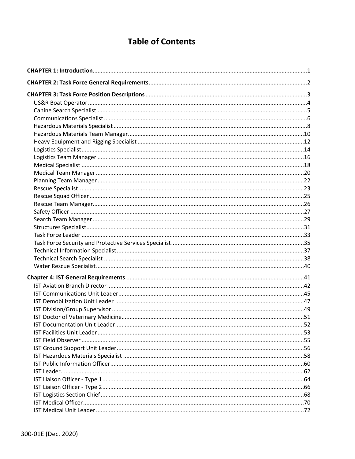### **Table of Contents**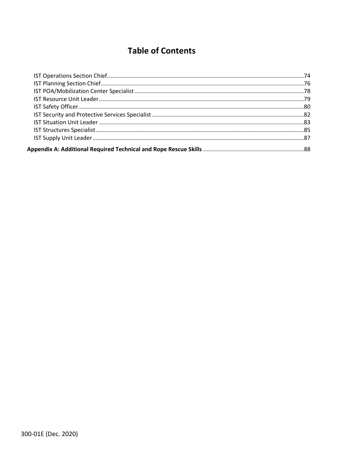### **Table of Contents**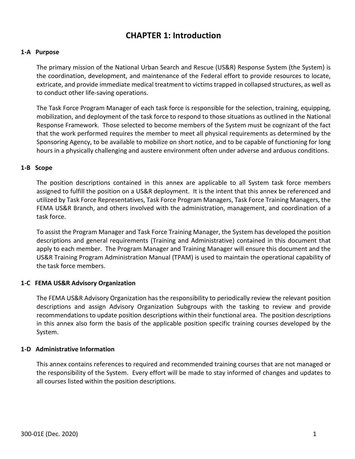### **CHAPTER 1: Introduction**

### <span id="page-5-0"></span>**1-A Purpose**

The primary mission of the National Urban Search and Rescue (US&R) Response System (the System) is the coordination, development, and maintenance of the Federal effort to provide resources to locate, extricate, and provide immediate medical treatment to victims trapped in collapsed structures, as well as to conduct other life-saving operations.

The Task Force Program Manager of each task force is responsible for the selection, training, equipping, mobilization, and deployment of the task force to respond to those situations as outlined in the National Response Framework. Those selected to become members of the System must be cognizant of the fact that the work performed requires the member to meet all physical requirements as determined by the Sponsoring Agency, to be available to mobilize on short notice, and to be capable of functioning for long hours in a physically challenging and austere environment often under adverse and arduous conditions.

### **1-B Scope**

The position descriptions contained in this annex are applicable to all System task force members assigned to fulfill the position on a US&R deployment. It is the intent that this annex be referenced and utilized by Task Force Representatives, Task Force Program Managers, Task Force Training Managers, the FEMA US&R Branch, and others involved with the administration, management, and coordination of a task force.

To assist the Program Manager and Task Force Training Manager, the System has developed the position descriptions and general requirements (Training and Administrative) contained in this document that apply to each member. The Program Manager and Training Manager will ensure this document and the US&R Training Program Administration Manual (TPAM) is used to maintain the operational capability of the task force members.

### **1-C FEMA US&R Advisory Organization**

The FEMA US&R Advisory Organization has the responsibility to periodically review the relevant position descriptions and assign Advisory Organization Subgroups with the tasking to review and provide recommendations to update position descriptions within their functional area. The position descriptions in this annex also form the basis of the applicable position specific training courses developed by the System.

### **1-D Administrative Information**

This annex contains references to required and recommended training courses that are not managed or the responsibility of the System. Every effort will be made to stay informed of changes and updates to all courses listed within the position descriptions.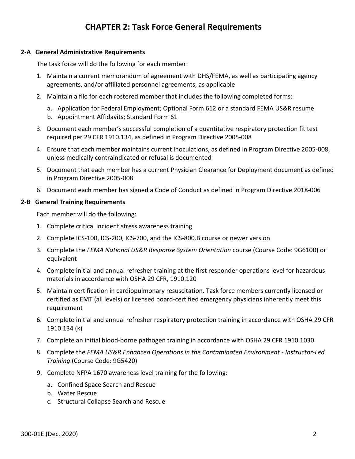### **CHAPTER 2: Task Force General Requirements**

#### <span id="page-6-0"></span>**2-A General Administrative Requirements**

The task force will do the following for each member:

- 1. Maintain a current memorandum of agreement with DHS/FEMA, as well as participating agency agreements, and/or affiliated personnel agreements, as applicable
- 2. Maintain a file for each rostered member that includes the following completed forms:
	- a. Application for Federal Employment; Optional Form 612 or a standard FEMA US&R resume
	- b. Appointment Affidavits; Standard Form 61
- 3. Document each member's successful completion of a quantitative respiratory protection fit test required per 29 CFR 1910.134, as defined in Program Directive 2005-008
- 4. Ensure that each member maintains current inoculations, as defined in Program Directive 2005-008, unless medically contraindicated or refusal is documented
- 5. Document that each member has a current Physician Clearance for Deployment document as defined in Program Directive 2005-008
- 6. Document each member has signed a Code of Conduct as defined in Program Directive 2018-006

#### **2-B General Training Requirements**

Each member will do the following:

- 1. Complete critical incident stress awareness training
- 2. Complete ICS-100, ICS-200, ICS-700, and the ICS-800.B course or newer version
- 3. Complete the *FEMA National US&R Response System Orientation* course (Course Code: 9G6100) or equivalent
- 4. Complete initial and annual refresher training at the first responder operations level for hazardous materials in accordance with OSHA 29 CFR, 1910.120
- 5. Maintain certification in cardiopulmonary resuscitation. Task force members currently licensed or certified as EMT (all levels) or licensed board-certified emergency physicians inherently meet this requirement
- 6. Complete initial and annual refresher respiratory protection training in accordance with OSHA 29 CFR 1910.134 (k)
- 7. Complete an initial blood-borne pathogen training in accordance with OSHA 29 CFR 1910.1030
- 8. Complete the *FEMA US&R Enhanced Operations in the Contaminated Environment - Instructor-Led Training* (Course Code: 9G5420)
- <span id="page-6-1"></span>9. Complete NFPA 1670 awareness level training for the following:
	- a. Confined Space Search and Rescue
	- b. Water Rescue
	- c. Structural Collapse Search and Rescue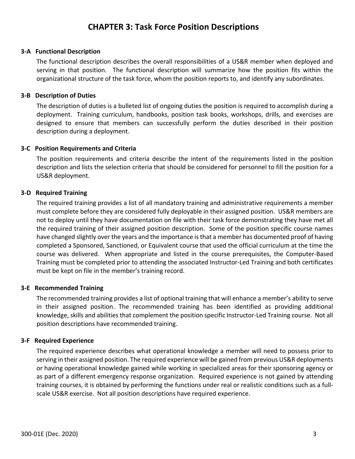### **CHAPTER 3: Task Force Position Descriptions**

#### **3-A Functional Description**

The functional description describes the overall responsibilities of a US&R member when deployed and serving in that position. The functional description will summarize how the position fits within the organizational structure of the task force, whom the position reports to, and identify any subordinates.

#### **3-B Description of Duties**

The description of duties is a bulleted list of ongoing duties the position is required to accomplish during a deployment. Training curriculum, handbooks, position task books, workshops, drills, and exercises are designed to ensure that members can successfully perform the duties described in their position description during a deployment.

#### **3-C Position Requirements and Criteria**

The position requirements and criteria describe the intent of the requirements listed in the position description and lists the selection criteria that should be considered for personnel to fill the position for a US&R deployment.

#### **3-D Required Training**

The required training provides a list of all mandatory training and administrative requirements a member must complete before they are considered fully deployable in their assigned position. US&R members are not to deploy until they have documentation on file with their task force demonstrating they have met all the required training of their assigned position description. Some of the position specific course names have changed slightly over the years and the importance is that a member has documented proof of having completed a Sponsored, Sanctioned, or Equivalent course that used the official curriculum at the time the course was delivered. When appropriate and listed in the course prerequisites, the Computer-Based Training must be completed prior to attending the associated Instructor-Led Training and both certificates must be kept on file in the member's training record.

#### **3-E Recommended Training**

The recommended training provides a list of optional training that will enhance a member's ability to serve in their assigned position. The recommended training has been identified as providing additional knowledge, skills and abilities that complement the position specific Instructor-Led Training course. Not all position descriptions have recommended training.

#### **3-F Required Experience**

The required experience describes what operational knowledge a member will need to possess prior to serving in their assigned position. The required experience will be gained from previous US&R deployments or having operational knowledge gained while working in specialized areas for their sponsoring agency or as part of a different emergency response organization. Required experience is not gained by attending training courses, it is obtained by performing the functions under real or realistic conditions such as a fullscale US&R exercise. Not all position descriptions have required experience.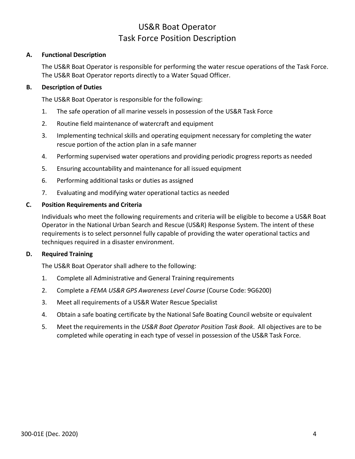### US&R Boat Operator Task Force Position Description

### <span id="page-8-0"></span>**A. Functional Description**

The US&R Boat Operator is responsible for performing the water rescue operations of the Task Force. The US&R Boat Operator reports directly to a Water Squad Officer.

### **B. Description of Duties**

The US&R Boat Operator is responsible for the following:

- 1. The safe operation of all marine vessels in possession of the US&R Task Force
- 2. Routine field maintenance of watercraft and equipment
- 3. Implementing technical skills and operating equipment necessary for completing the water rescue portion of the action plan in a safe manner
- 4. Performing supervised water operations and providing periodic progress reports as needed
- 5. Ensuring accountability and maintenance for all issued equipment
- 6. Performing additional tasks or duties as assigned
- 7. Evaluating and modifying water operational tactics as needed

### **C. Position Requirements and Criteria**

Individuals who meet the following requirements and criteria will be eligible to become a US&R Boat Operator in the National Urban Search and Rescue (US&R) Response System. The intent of these requirements is to select personnel fully capable of providing the water operational tactics and techniques required in a disaster environment.

### **D. Required Training**

The US&R Boat Operator shall adhere to the following:

- 1. Complete all Administrative and General Training requirements
- 2. Complete a *FEMA US&R GPS Awareness Level Course* (Course Code: 9G6200)
- 3. Meet all requirements of a US&R Water Rescue Specialist
- 4. Obtain a safe boating certificate by the National Safe Boating Council website or equivalent
- 5. Meet the requirements in the *US&R Boat Operator Position Task Book*. All objectives are to be completed while operating in each type of vessel in possession of the US&R Task Force.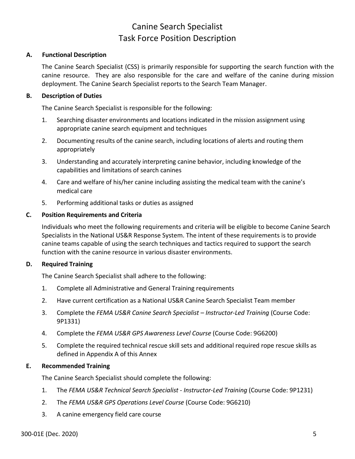### Canine Search Specialist Task Force Position Description

### <span id="page-9-0"></span>**A. Functional Description**

The Canine Search Specialist (CSS) is primarily responsible for supporting the search function with the canine resource. They are also responsible for the care and welfare of the canine during mission deployment. The Canine Search Specialist reports to the Search Team Manager.

### **B. Description of Duties**

The Canine Search Specialist is responsible for the following:

- 1. Searching disaster environments and locations indicated in the mission assignment using appropriate canine search equipment and techniques
- 2. Documenting results of the canine search, including locations of alerts and routing them appropriately
- 3. Understanding and accurately interpreting canine behavior, including knowledge of the capabilities and limitations of search canines
- 4. Care and welfare of his/her canine including assisting the medical team with the canine's medical care
- 5. Performing additional tasks or duties as assigned

### **C. Position Requirements and Criteria**

Individuals who meet the following requirements and criteria will be eligible to become Canine Search Specialists in the National US&R Response System. The intent of these requirements is to provide canine teams capable of using the search techniques and tactics required to support the search function with the canine resource in various disaster environments.

### **D. Required Training**

The Canine Search Specialist shall adhere to the following:

- 1. Complete all Administrative and General Training requirements
- 2. Have current certification as a National US&R Canine Search Specialist Team member
- 3. Complete the *FEMA US&R Canine Search Specialist – Instructor-Led Training* (Course Code: 9P1331)
- 4. Complete the *FEMA US&R GPS Awareness Level Course* (Course Code: 9G6200)
- 5. Complete the required technical rescue skill sets and additional required rope rescue skills as defined in Appendix A of this Annex

### **E. Recommended Training**

The Canine Search Specialist should complete the following:

- 1. The *FEMA US&R Technical Search Specialist - Instructor-Led Training* (Course Code: 9P1231)
- 2. The *FEMA US&R GPS Operations Level Course* (Course Code: 9G6210)
- 3. A canine emergency field care course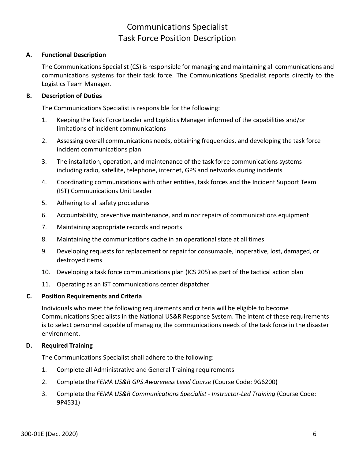### Communications Specialist Task Force Position Description

### <span id="page-10-0"></span>**A. Functional Description**

The Communications Specialist (CS) is responsible for managing and maintaining all communications and communications systems for their task force. The Communications Specialist reports directly to the Logistics Team Manager.

### **B. Description of Duties**

The Communications Specialist is responsible for the following:

- 1. Keeping the Task Force Leader and Logistics Manager informed of the capabilities and/or limitations of incident communications
- 2. Assessing overall communications needs, obtaining frequencies, and developing the task force incident communications plan
- 3. The installation, operation, and maintenance of the task force communications systems including radio, satellite, telephone, internet, GPS and networks during incidents
- 4. Coordinating communications with other entities, task forces and the Incident Support Team (IST) Communications Unit Leader
- 5. Adhering to all safety procedures
- 6. Accountability, preventive maintenance, and minor repairs of communications equipment
- 7. Maintaining appropriate records and reports
- 8. Maintaining the communications cache in an operational state at all times
- 9. Developing requests for replacement or repair for consumable, inoperative, lost, damaged, or destroyed items
- 10. Developing a task force communications plan (ICS 205) as part of the tactical action plan
- 11. Operating as an IST communications center dispatcher

### **C. Position Requirements and Criteria**

Individuals who meet the following requirements and criteria will be eligible to become Communications Specialists in the National US&R Response System. The intent of these requirements is to select personnel capable of managing the communications needs of the task force in the disaster environment.

### **D. Required Training**

The Communications Specialist shall adhere to the following:

- 1. Complete all Administrative and General Training requirements
- 2. Complete the *FEMA US&R GPS Awareness Level Course* (Course Code: 9G6200)
- 3. Complete the *FEMA US&R Communications Specialist - Instructor-Led Training* (Course Code: 9P4531)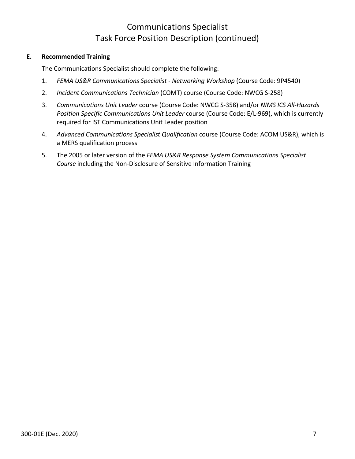### Communications Specialist Task Force Position Description (continued)

### **E. Recommended Training**

The Communications Specialist should complete the following:

- 1. *FEMA US&R Communications Specialist - Networking Workshop* (Course Code: 9P4540)
- 2. *Incident Communications Technician* (COMT) course (Course Code: NWCG S-258)
- 3. *Communications Unit Leader* course (Course Code: NWCG S-358) and/or *NIMS ICS All-Hazards Position Specific Communications Unit Leader* course (Course Code: E/L-969), which is currently required for IST Communications Unit Leader position
- 4. *Advanced Communications Specialist Qualification* course (Course Code: ACOM US&R), which is a MERS qualification process
- 5. The 2005 or later version of the *FEMA US&R Response System Communications Specialist Course* including the Non-Disclosure of Sensitive Information Training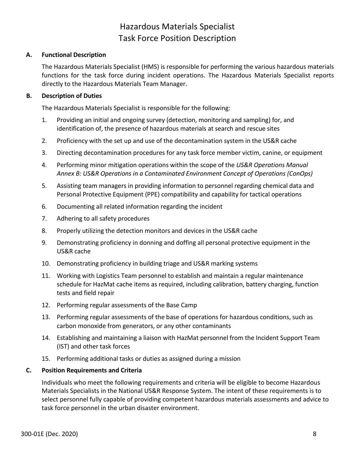### Hazardous Materials Specialist Task Force Position Description

### <span id="page-12-0"></span>**A. Functional Description**

The Hazardous Materials Specialist (HMS) is responsible for performing the various hazardous materials functions for the task force during incident operations. The Hazardous Materials Specialist reports directly to the Hazardous Materials Team Manager.

### **B. Description of Duties**

The Hazardous Materials Specialist is responsible for the following:

- 1. Providing an initial and ongoing survey (detection, monitoring and sampling) for, and identification of, the presence of hazardous materials at search and rescue sites
- 2. Proficiency with the set up and use of the decontamination system in the US&R cache
- 3. Directing decontamination procedures for any task force member victim, canine, or equipment
- 4. Performing minor mitigation operations within the scope of the *US&R Operations Manual Annex B: US&R Operations in a Contaminated Environment Concept of Operations (ConOps)*
- 5. Assisting team managers in providing information to personnel regarding chemical data and Personal Protective Equipment (PPE) compatibility and capability for tactical operations
- 6. Documenting all related information regarding the incident
- 7. Adhering to all safety procedures
- 8. Properly utilizing the detection monitors and devices in the US&R cache
- 9. Demonstrating proficiency in donning and doffing all personal protective equipment in the US&R cache
- 10. Demonstrating proficiency in building triage and US&R marking systems
- 11. Working with Logistics Team personnel to establish and maintain a regular maintenance schedule for HazMat cache items as required, including calibration, battery charging, function tests and field repair
- 12. Performing regular assessments of the Base Camp
- 13. Performing regular assessments of the base of operations for hazardous conditions, such as carbon monoxide from generators, or any other contaminants
- 14. Establishing and maintaining a liaison with HazMat personnel from the Incident Support Team (IST) and other task forces
- 15. Performing additional tasks or duties as assigned during a mission

### **C. Position Requirements and Criteria**

Individuals who meet the following requirements and criteria will be eligible to become Hazardous Materials Specialists in the National US&R Response System. The intent of these requirements is to select personnel fully capable of providing competent hazardous materials assessments and advice to task force personnel in the urban disaster environment.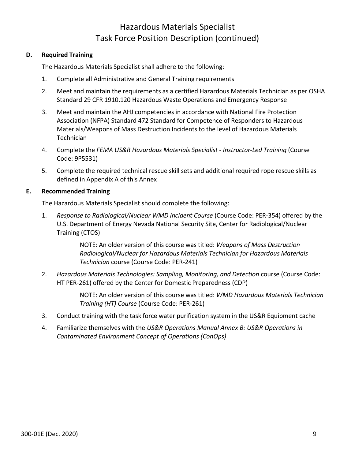### Hazardous Materials Specialist Task Force Position Description (continued)

### **D. Required Training**

The Hazardous Materials Specialist shall adhere to the following:

- 1. Complete all Administrative and General Training requirements
- 2. Meet and maintain the requirements as a certified Hazardous Materials Technician as per OSHA Standard 29 CFR 1910.120 Hazardous Waste Operations and Emergency Response
- 3. Meet and maintain the AHJ competencies in accordance with National Fire Protection Association (NFPA) Standard 472 Standard for Competence of Responders to Hazardous Materials/Weapons of Mass Destruction Incidents to the level of Hazardous Materials **Technician**
- 4. Complete the *FEMA US&R Hazardous Materials Specialist - Instructor-Led Training* (Course Code: 9P5531)
- 5. Complete the required technical rescue skill sets and additional required rope rescue skills as defined in Appendix A of this Annex

### **E. Recommended Training**

The Hazardous Materials Specialist should complete the following:

1. *Response to Radiological/Nuclear WMD Incident Course* (Course Code: PER-354) offered by the U.S. Department of Energy Nevada National Security Site, Center for Radiological/Nuclear Training (CTOS)

> NOTE: An older version of this course was titled: *Weapons of Mass Destruction Radiological/Nuclear for Hazardous Materials Technician for Hazardous Materials Technician* course (Course Code: PER-241)

2. *Hazardous Materials Technologies: Sampling, Monitoring, and Detection* course (Course Code: HT PER-261) offered by the Center for Domestic Preparedness (CDP)

> NOTE: An older version of this course was titled: *WMD Hazardous Materials Technician Training (HT) Course* (Course Code: PER-261)

- 3. Conduct training with the task force water purification system in the US&R Equipment cache
- 4. Familiarize themselves with the *US&R Operations Manual Annex B: US&R Operations in Contaminated Environment Concept of Operations (ConOps)*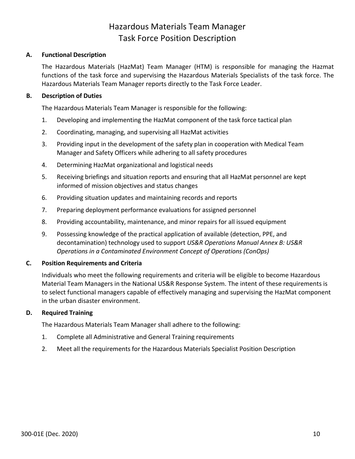### Hazardous Materials Team Manager Task Force Position Description

### <span id="page-14-0"></span>**A. Functional Description**

The Hazardous Materials (HazMat) Team Manager (HTM) is responsible for managing the Hazmat functions of the task force and supervising the Hazardous Materials Specialists of the task force. The Hazardous Materials Team Manager reports directly to the Task Force Leader.

### **B. Description of Duties**

The Hazardous Materials Team Manager is responsible for the following:

- 1. Developing and implementing the HazMat component of the task force tactical plan
- 2. Coordinating, managing, and supervising all HazMat activities
- 3. Providing input in the development of the safety plan in cooperation with Medical Team Manager and Safety Officers while adhering to all safety procedures
- 4. Determining HazMat organizational and logistical needs
- 5. Receiving briefings and situation reports and ensuring that all HazMat personnel are kept informed of mission objectives and status changes
- 6. Providing situation updates and maintaining records and reports
- 7. Preparing deployment performance evaluations for assigned personnel
- 8. Providing accountability, maintenance, and minor repairs for all issued equipment
- 9. Possessing knowledge of the practical application of available (detection, PPE, and decontamination) technology used to support *US&R Operations Manual Annex B: US&R Operations in a Contaminated Environment Concept of Operations (ConOps)*

### **C. Position Requirements and Criteria**

Individuals who meet the following requirements and criteria will be eligible to become Hazardous Material Team Managers in the National US&R Response System. The intent of these requirements is to select functional managers capable of effectively managing and supervising the HazMat component in the urban disaster environment.

### **D. Required Training**

The Hazardous Materials Team Manager shall adhere to the following:

- 1. Complete all Administrative and General Training requirements
- 2. Meet all the requirements for the Hazardous Materials Specialist Position Description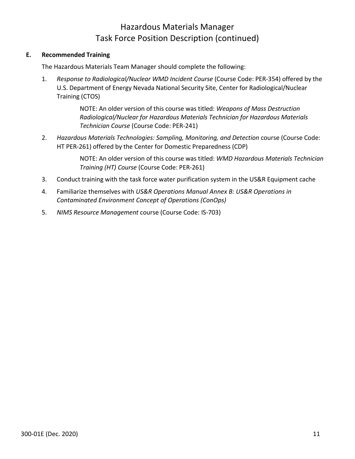### Hazardous Materials Manager Task Force Position Description (continued)

### **E. Recommended Training**

The Hazardous Materials Team Manager should complete the following:

1. *Response to Radiological/Nuclear WMD Incident Course* (Course Code: PER-354) offered by the U.S. Department of Energy Nevada National Security Site, Center for Radiological/Nuclear Training (CTOS)

> NOTE: An older version of this course was titled: *Weapons of Mass Destruction Radiological/Nuclear for Hazardous Materials Technician for Hazardous Materials Technician Course* (Course Code: PER-241)

2. *Hazardous Materials Technologies: Sampling, Monitoring, and Detection* course (Course Code: HT PER-261) offered by the Center for Domestic Preparedness (CDP)

> NOTE: An older version of this course was titled: *WMD Hazardous Materials Technician Training (HT) Course* (Course Code: PER-261)

- 3. Conduct training with the task force water purification system in the US&R Equipment cache
- 4. Familiarize themselves with *US&R Operations Manual Annex B: US&R Operations in Contaminated Environment Concept of Operations (ConOps)*
- 5. *NIMS Resource Management* course (Course Code: IS-703)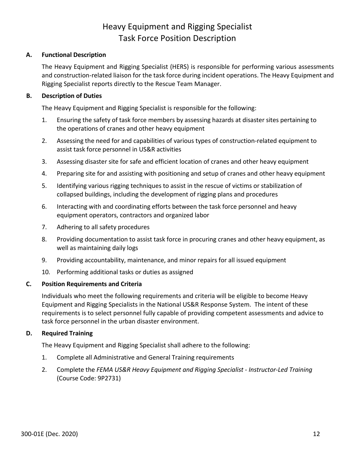### Heavy Equipment and Rigging Specialist Task Force Position Description

### <span id="page-16-0"></span>**A. Functional Description**

The Heavy Equipment and Rigging Specialist (HERS) is responsible for performing various assessments and construction-related liaison for the task force during incident operations. The Heavy Equipment and Rigging Specialist reports directly to the Rescue Team Manager.

### **B. Description of Duties**

The Heavy Equipment and Rigging Specialist is responsible for the following:

- 1. Ensuring the safety of task force members by assessing hazards at disaster sites pertaining to the operations of cranes and other heavy equipment
- 2. Assessing the need for and capabilities of various types of construction-related equipment to assist task force personnel in US&R activities
- 3. Assessing disaster site for safe and efficient location of cranes and other heavy equipment
- 4. Preparing site for and assisting with positioning and setup of cranes and other heavy equipment
- 5. Identifying various rigging techniques to assist in the rescue of victims or stabilization of collapsed buildings, including the development of rigging plans and procedures
- 6. Interacting with and coordinating efforts between the task force personnel and heavy equipment operators, contractors and organized labor
- 7. Adhering to all safety procedures
- 8. Providing documentation to assist task force in procuring cranes and other heavy equipment, as well as maintaining daily logs
- 9. Providing accountability, maintenance, and minor repairs for all issued equipment
- 10. Performing additional tasks or duties as assigned

### **C. Position Requirements and Criteria**

Individuals who meet the following requirements and criteria will be eligible to become Heavy Equipment and Rigging Specialists in the National US&R Response System. The intent of these requirements is to select personnel fully capable of providing competent assessments and advice to task force personnel in the urban disaster environment.

### **D. Required Training**

The Heavy Equipment and Rigging Specialist shall adhere to the following:

- 1. Complete all Administrative and General Training requirements
- 2. Complete the *FEMA US&R Heavy Equipment and Rigging Specialist - Instructor-Led Training* (Course Code: 9P2731)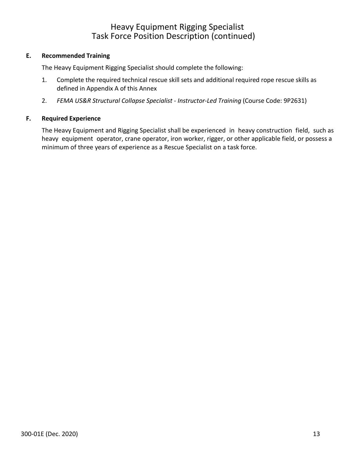### Heavy Equipment Rigging Specialist Task Force Position Description (continued)

### **E. Recommended Training**

The Heavy Equipment Rigging Specialist should complete the following:

- 1. Complete the required technical rescue skill sets and additional required rope rescue skills as defined in Appendix A of this Annex
- 2. *FEMA US&R Structural Collapse Specialist - Instructor-Led Training* (Course Code: 9P2631)

### **F. Required Experience**

The Heavy Equipment and Rigging Specialist shall be experienced in heavy construction field, such as heavy equipment operator, crane operator, iron worker, rigger, or other applicable field, or possess a minimum of three years of experience as a Rescue Specialist on a task force.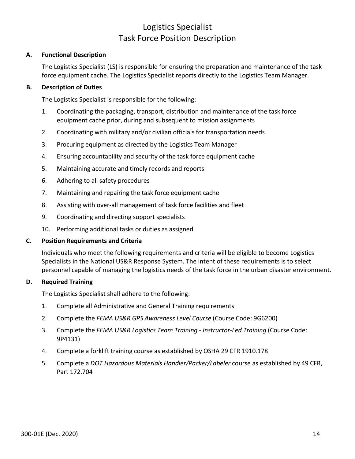### Logistics Specialist Task Force Position Description

### <span id="page-18-0"></span>**A. Functional Description**

The Logistics Specialist (LS) is responsible for ensuring the preparation and maintenance of the task force equipment cache. The Logistics Specialist reports directly to the Logistics Team Manager.

### **B. Description of Duties**

The Logistics Specialist is responsible for the following:

- 1. Coordinating the packaging, transport, distribution and maintenance of the task force equipment cache prior, during and subsequent to mission assignments
- 2. Coordinating with military and/or civilian officials for transportation needs
- 3. Procuring equipment as directed by the Logistics Team Manager
- 4. Ensuring accountability and security of the task force equipment cache
- 5. Maintaining accurate and timely records and reports
- 6. Adhering to all safety procedures
- 7. Maintaining and repairing the task force equipment cache
- 8. Assisting with over-all management of task force facilities and fleet
- 9. Coordinating and directing support specialists
- 10. Performing additional tasks or duties as assigned

### **C. Position Requirements and Criteria**

Individuals who meet the following requirements and criteria will be eligible to become Logistics Specialists in the National US&R Response System. The intent of these requirements is to select personnel capable of managing the logistics needs of the task force in the urban disaster environment.

### **D. Required Training**

The Logistics Specialist shall adhere to the following:

- 1. Complete all Administrative and General Training requirements
- 2. Complete the *FEMA US&R GPS Awareness Level Course* (Course Code: 9G6200)
- 3. Complete the *FEMA US&R Logistics Team Training - Instructor-Led Training* (Course Code: 9P4131)
- 4. Complete a forklift training course as established by OSHA 29 CFR 1910.178
- 5. Complete a *DOT Hazardous Materials Handler/Packer/Labeler* course as established by 49 CFR, Part 172.704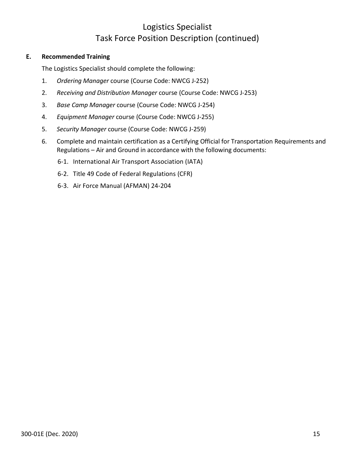### Logistics Specialist Task Force Position Description (continued)

### **E. Recommended Training**

The Logistics Specialist should complete the following:

- 1. *Ordering Manager* course (Course Code: NWCG J-252)
- 2. *Receiving and Distribution Manager* course (Course Code: NWCG J-253)
- 3. *Base Camp Manager* course (Course Code: NWCG J-254)
- 4. *Equipment Manager* course (Course Code: NWCG J-255)
- 5. *Security Manager* course (Course Code: NWCG J-259)
- 6. Complete and maintain certification as a Certifying Official for Transportation Requirements and Regulations – Air and Ground in accordance with the following documents:
	- 6-1. International Air Transport Association (IATA)
	- 6-2. Title 49 Code of Federal Regulations (CFR)
	- 6-3. Air Force Manual (AFMAN) 24-204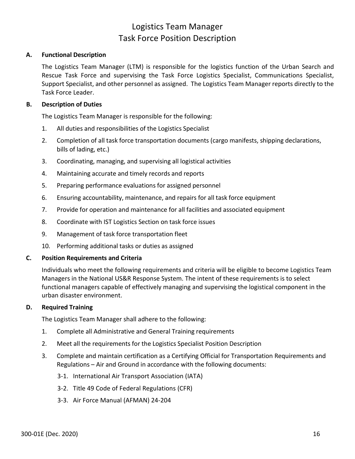### Logistics Team Manager Task Force Position Description

### <span id="page-20-0"></span>**A. Functional Description**

The Logistics Team Manager (LTM) is responsible for the logistics function of the Urban Search and Rescue Task Force and supervising the Task Force Logistics Specialist, Communications Specialist, Support Specialist, and other personnel as assigned. The Logistics Team Manager reports directly to the Task Force Leader.

### **B. Description of Duties**

The Logistics Team Manager is responsible for the following:

- 1. All duties and responsibilities of the Logistics Specialist
- 2. Completion of all task force transportation documents (cargo manifests, shipping declarations, bills of lading, etc.)
- 3. Coordinating, managing, and supervising all logistical activities
- 4. Maintaining accurate and timely records and reports
- 5. Preparing performance evaluations for assigned personnel
- 6. Ensuring accountability, maintenance, and repairs for all task force equipment
- 7. Provide for operation and maintenance for all facilities and associated equipment
- 8. Coordinate with IST Logistics Section on task force issues
- 9. Management of task force transportation fleet
- 10. Performing additional tasks or duties as assigned

### **C. Position Requirements and Criteria**

Individuals who meet the following requirements and criteria will be eligible to become Logistics Team Managers in the National US&R Response System. The intent of these requirements is to select functional managers capable of effectively managing and supervising the logistical component in the urban disaster environment.

### **D. Required Training**

The Logistics Team Manager shall adhere to the following:

- 1. Complete all Administrative and General Training requirements
- 2. Meet all the requirements for the Logistics Specialist Position Description
- 3. Complete and maintain certification as a Certifying Official for Transportation Requirements and Regulations – Air and Ground in accordance with the following documents:
	- 3-1. International Air Transport Association (IATA)
	- 3-2. Title 49 Code of Federal Regulations (CFR)
	- 3-3. Air Force Manual (AFMAN) 24-204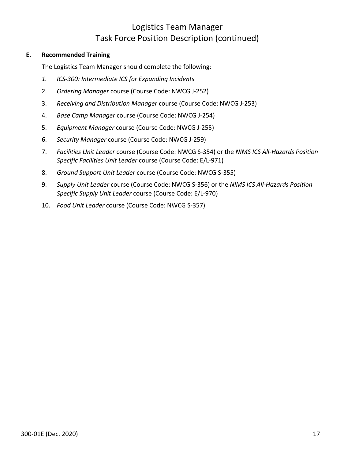### Logistics Team Manager Task Force Position Description (continued)

### **E. Recommended Training**

The Logistics Team Manager should complete the following:

- *1. ICS-300: Intermediate ICS for Expanding Incidents*
- 2. *Ordering Manager* course (Course Code: NWCG J-252)
- 3. *Receiving and Distribution Manager* course (Course Code: NWCG J-253)
- 4. *Base Camp Manager* course (Course Code: NWCG J-254)
- 5. *Equipment Manager* course (Course Code: NWCG J-255)
- 6. *Security Manager* course (Course Code: NWCG J-259)
- 7. *Facilities Unit Leader* course (Course Code: NWCG S-354) or the *NIMS ICS All-Hazards Position Specific Facilities Unit Leader* course (Course Code: E/L-971)
- 8. *Ground Support Unit Leader* course (Course Code: NWCG S-355)
- 9. *Supply Unit Leader* course (Course Code: NWCG S-356) or the *NIMS ICS All-Hazards Position Specific Supply Unit Leader* course (Course Code: E/L-970)
- 10. *Food Unit Leader* course (Course Code: NWCG S-357)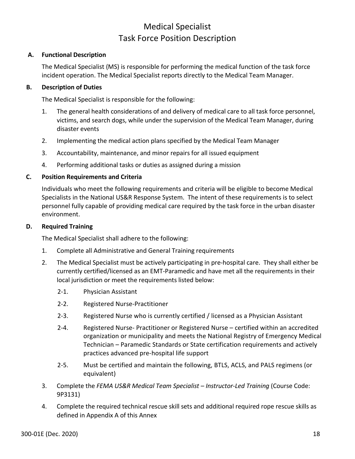### Medical Specialist Task Force Position Description

### <span id="page-22-0"></span>**A. Functional Description**

The Medical Specialist (MS) is responsible for performing the medical function of the task force incident operation. The Medical Specialist reports directly to the Medical Team Manager.

### **B. Description of Duties**

The Medical Specialist is responsible for the following:

- 1. The general health considerations of and delivery of medical care to all task force personnel, victims, and search dogs, while under the supervision of the Medical Team Manager, during disaster events
- 2. Implementing the medical action plans specified by the Medical Team Manager
- 3. Accountability, maintenance, and minor repairs for all issued equipment
- 4. Performing additional tasks or duties as assigned during a mission

### **C. Position Requirements and Criteria**

Individuals who meet the following requirements and criteria will be eligible to become Medical Specialists in the National US&R Response System. The intent of these requirements is to select personnel fully capable of providing medical care required by the task force in the urban disaster environment.

### **D. Required Training**

The Medical Specialist shall adhere to the following:

- 1. Complete all Administrative and General Training requirements
- 2. The Medical Specialist must be actively participating in pre-hospital care. They shall either be currently certified/licensed as an EMT-Paramedic and have met all the requirements in their local jurisdiction or meet the requirements listed below:
	- 2-1. Physician Assistant
	- 2-2. Registered Nurse-Practitioner
	- 2-3. Registered Nurse who is currently certified / licensed as a Physician Assistant
	- 2-4. Registered Nurse- Practitioner or Registered Nurse certified within an accredited organization or municipality and meets the National Registry of Emergency Medical Technician – Paramedic Standards or State certification requirements and actively practices advanced pre-hospital life support
	- 2-5. Must be certified and maintain the following, BTLS, ACLS, and PALS regimens (or equivalent)
- 3. Complete the *FEMA US&R Medical Team Specialist – Instructor-Led Training* (Course Code: 9P3131)
- 4. Complete the required technical rescue skill sets and additional required rope rescue skills as defined in Appendix A of this Annex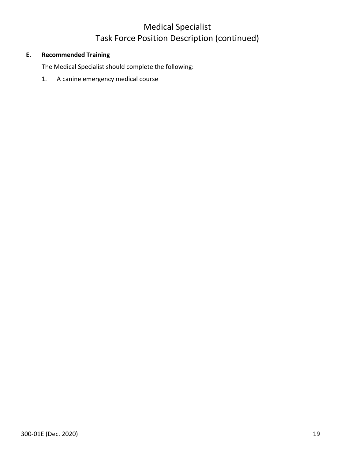### Medical Specialist Task Force Position Description (continued)

### **E. Recommended Training**

The Medical Specialist should complete the following:

1. A canine emergency medical course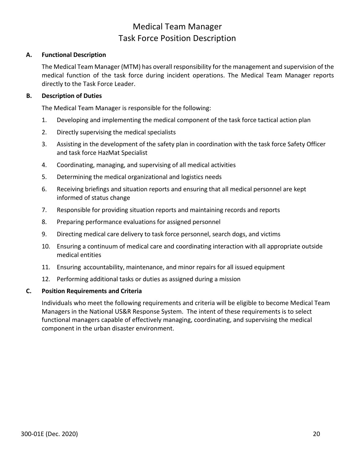### Medical Team Manager Task Force Position Description

### <span id="page-24-0"></span>**A. Functional Description**

The Medical Team Manager (MTM) has overall responsibility for the management and supervision of the medical function of the task force during incident operations. The Medical Team Manager reports directly to the Task Force Leader.

### **B. Description of Duties**

The Medical Team Manager is responsible for the following:

- 1. Developing and implementing the medical component of the task force tactical action plan
- 2. Directly supervising the medical specialists
- 3. Assisting in the development of the safety plan in coordination with the task force Safety Officer and task force HazMat Specialist
- 4. Coordinating, managing, and supervising of all medical activities
- 5. Determining the medical organizational and logistics needs
- 6. Receiving briefings and situation reports and ensuring that all medical personnel are kept informed of status change
- 7. Responsible for providing situation reports and maintaining records and reports
- 8. Preparing performance evaluations for assigned personnel
- 9. Directing medical care delivery to task force personnel, search dogs, and victims
- 10. Ensuring a continuum of medical care and coordinating interaction with all appropriate outside medical entities
- 11. Ensuring accountability, maintenance, and minor repairs for all issued equipment
- 12. Performing additional tasks or duties as assigned during a mission

### **C. Position Requirements and Criteria**

Individuals who meet the following requirements and criteria will be eligible to become Medical Team Managers in the National US&R Response System. The intent of these requirements is to select functional managers capable of effectively managing, coordinating, and supervising the medical component in the urban disaster environment.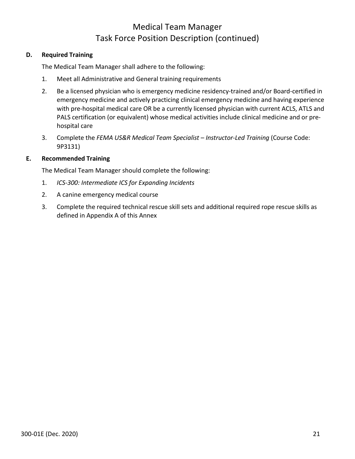### Medical Team Manager Task Force Position Description (continued)

### **D. Required Training**

The Medical Team Manager shall adhere to the following:

- 1. Meet all Administrative and General training requirements
- 2. Be a licensed physician who is emergency medicine residency-trained and/or Board-certified in emergency medicine and actively practicing clinical emergency medicine and having experience with pre-hospital medical care OR be a currently licensed physician with current ACLS, ATLS and PALS certification (or equivalent) whose medical activities include clinical medicine and or prehospital care
- 3. Complete the *FEMA US&R Medical Team Specialist – Instructor-Led Training* (Course Code: 9P3131)

### **E. Recommended Training**

The Medical Team Manager should complete the following:

- 1. *ICS-300: Intermediate ICS for Expanding Incidents*
- 2. A canine emergency medical course
- 3. Complete the required technical rescue skill sets and additional required rope rescue skills as defined in Appendix A of this Annex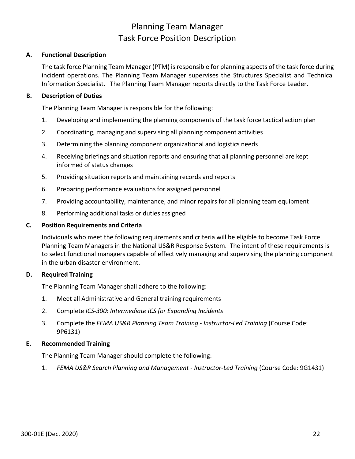### Planning Team Manager Task Force Position Description

### <span id="page-26-0"></span>**A. Functional Description**

The task force Planning Team Manager (PTM) is responsible for planning aspects of the task force during incident operations. The Planning Team Manager supervises the Structures Specialist and Technical Information Specialist. The Planning Team Manager reports directly to the Task Force Leader.

### **B. Description of Duties**

The Planning Team Manager is responsible for the following:

- 1. Developing and implementing the planning components of the task force tactical action plan
- 2. Coordinating, managing and supervising all planning component activities
- 3. Determining the planning component organizational and logistics needs
- 4. Receiving briefings and situation reports and ensuring that all planning personnel are kept informed of status changes
- 5. Providing situation reports and maintaining records and reports
- 6. Preparing performance evaluations for assigned personnel
- 7. Providing accountability, maintenance, and minor repairs for all planning team equipment
- 8. Performing additional tasks or duties assigned

### **C. Position Requirements and Criteria**

Individuals who meet the following requirements and criteria will be eligible to become Task Force Planning Team Managers in the National US&R Response System. The intent of these requirements is to select functional managers capable of effectively managing and supervising the planning component in the urban disaster environment.

### **D. Required Training**

The Planning Team Manager shall adhere to the following:

- 1. Meet all Administrative and General training requirements
- 2. Complete *ICS-300: Intermediate ICS for Expanding Incidents*
- 3. Complete the *FEMA US&R Planning Team Training - Instructor-Led Training* (Course Code: 9P6131)

### **E. Recommended Training**

The Planning Team Manager should complete the following:

1. *FEMA US&R Search Planning and Management - Instructor-Led Training* (Course Code: 9G1431)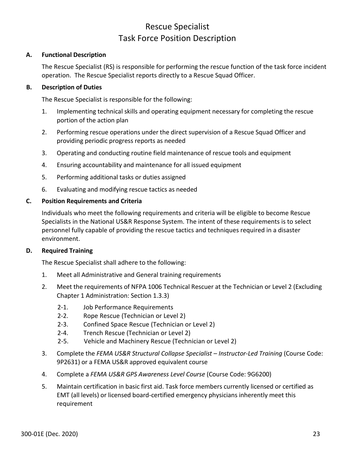### Rescue Specialist Task Force Position Description

### <span id="page-27-0"></span>**A. Functional Description**

The Rescue Specialist (RS) is responsible for performing the rescue function of the task force incident operation. The Rescue Specialist reports directly to a Rescue Squad Officer.

### **B. Description of Duties**

The Rescue Specialist is responsible for the following:

- 1. Implementing technical skills and operating equipment necessary for completing the rescue portion of the action plan
- 2. Performing rescue operations under the direct supervision of a Rescue Squad Officer and providing periodic progress reports as needed
- 3. Operating and conducting routine field maintenance of rescue tools and equipment
- 4. Ensuring accountability and maintenance for all issued equipment
- 5. Performing additional tasks or duties assigned
- 6. Evaluating and modifying rescue tactics as needed

### **C. Position Requirements and Criteria**

Individuals who meet the following requirements and criteria will be eligible to become Rescue Specialists in the National US&R Response System. The intent of these requirements is to select personnel fully capable of providing the rescue tactics and techniques required in a disaster environment.

### **D. Required Training**

The Rescue Specialist shall adhere to the following:

- 1. Meet all Administrative and General training requirements
- 2. Meet the requirements of NFPA 1006 Technical Rescuer at the Technician or Level 2 (Excluding Chapter 1 Administration: Section 1.3.3)
	- 2-1. Job Performance Requirements
	- 2-2. Rope Rescue (Technician or Level 2)
	- 2-3. Confined Space Rescue (Technician or Level 2)
	- 2-4. Trench Rescue (Technician or Level 2)
	- 2-5. Vehicle and Machinery Rescue (Technician or Level 2)
- 3. Complete the *FEMA US&R Structural Collapse Specialist – Instructor-Led Training* (Course Code: 9P2631) or a FEMA US&R approved equivalent course
- 4. Complete a *FEMA US&R GPS Awareness Level Course* (Course Code: 9G6200)
- 5. Maintain certification in basic first aid. Task force members currently licensed or certified as EMT (all levels) or licensed board-certified emergency physicians inherently meet this requirement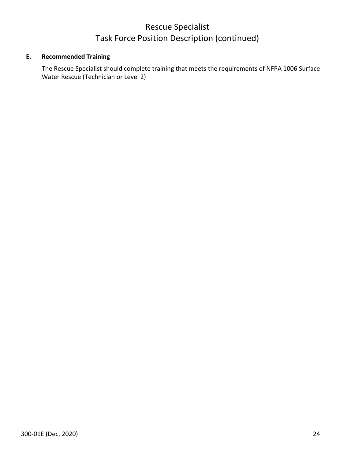### Rescue Specialist Task Force Position Description (continued)

### **E. Recommended Training**

The Rescue Specialist should complete training that meets the requirements of NFPA 1006 Surface Water Rescue (Technician or Level 2)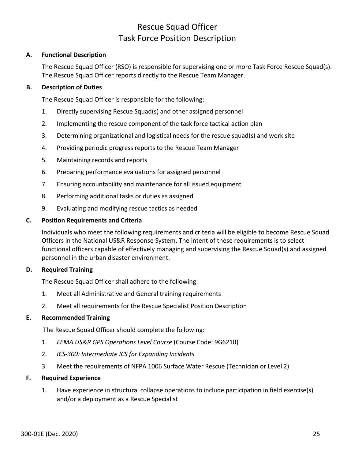### Rescue Squad Officer Task Force Position Description

### <span id="page-29-0"></span>**A. Functional Description**

The Rescue Squad Officer (RSO) is responsible for supervising one or more Task Force Rescue Squad(s). The Rescue Squad Officer reports directly to the Rescue Team Manager.

### **B. Description of Duties**

The Rescue Squad Officer is responsible for the following:

- 1. Directly supervising Rescue Squad(s) and other assigned personnel
- 2. Implementing the rescue component of the task force tactical action plan
- 3. Determining organizational and logistical needs for the rescue squad(s) and work site
- 4. Providing periodic progress reports to the Rescue Team Manager
- 5. Maintaining records and reports
- 6. Preparing performance evaluations for assigned personnel
- 7. Ensuring accountability and maintenance for all issued equipment
- 8. Performing additional tasks or duties as assigned
- 9. Evaluating and modifying rescue tactics as needed

### **C. Position Requirements and Criteria**

Individuals who meet the following requirements and criteria will be eligible to become Rescue Squad Officers in the National US&R Response System. The intent of these requirements is to select functional officers capable of effectively managing and supervising the Rescue Squad(s) and assigned personnel in the urban disaster environment.

### **D. Required Training**

The Rescue Squad Officer shall adhere to the following:

- 1. Meet all Administrative and General training requirements
- 2. Meet all requirements for the Rescue Specialist Position Description

### **E. Recommended Training**

The Rescue Squad Officer should complete the following:

- 1. *FEMA US&R GPS Operations Level Course* (Course Code: 9G6210)
- 2. *ICS-300: Intermediate ICS for Expanding Incidents*
- 3. Meet the requirements of NFPA 1006 Surface Water Rescue (Technician or Level 2)

### **F. Required Experience**

1. Have experience in structural collapse operations to include participation in field exercise(s) and/or a deployment as a Rescue Specialist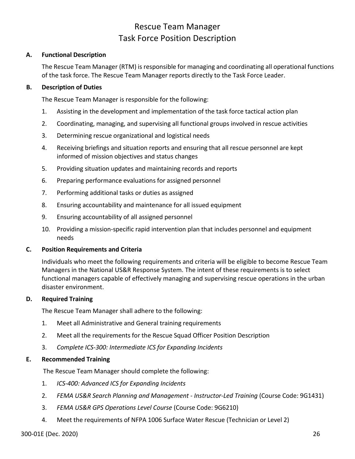### Rescue Team Manager Task Force Position Description

### <span id="page-30-0"></span>**A. Functional Description**

The Rescue Team Manager (RTM) is responsible for managing and coordinating all operational functions of the task force. The Rescue Team Manager reports directly to the Task Force Leader.

### **B. Description of Duties**

The Rescue Team Manager is responsible for the following:

- 1. Assisting in the development and implementation of the task force tactical action plan
- 2. Coordinating, managing, and supervising all functional groups involved in rescue activities
- 3. Determining rescue organizational and logistical needs
- 4. Receiving briefings and situation reports and ensuring that all rescue personnel are kept informed of mission objectives and status changes
- 5. Providing situation updates and maintaining records and reports
- 6. Preparing performance evaluations for assigned personnel
- 7. Performing additional tasks or duties as assigned
- 8. Ensuring accountability and maintenance for all issued equipment
- 9. Ensuring accountability of all assigned personnel
- 10. Providing a mission-specific rapid intervention plan that includes personnel and equipment needs

### **C. Position Requirements and Criteria**

Individuals who meet the following requirements and criteria will be eligible to become Rescue Team Managers in the National US&R Response System. The intent of these requirements is to select functional managers capable of effectively managing and supervising rescue operations in the urban disaster environment.

### **D. Required Training**

The Rescue Team Manager shall adhere to the following:

- 1. Meet all Administrative and General training requirements
- 2. Meet all the requirements for the Rescue Squad Officer Position Description
- 3. *Complete ICS-300: Intermediate ICS for Expanding Incidents*

### **E. Recommended Training**

The Rescue Team Manager should complete the following:

- 1. *ICS-400: Advanced ICS for Expanding Incidents*
- 2. *FEMA US&R Search Planning and Management - Instructor-Led Training* (Course Code: 9G1431)
- 3. *FEMA US&R GPS Operations Level Course* (Course Code: 9G6210)
- 4. Meet the requirements of NFPA 1006 Surface Water Rescue (Technician or Level 2)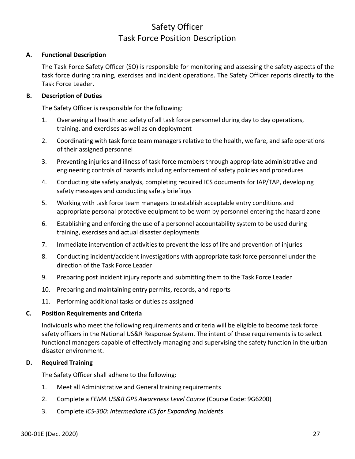### Safety Officer Task Force Position Description

### <span id="page-31-0"></span>**A. Functional Description**

The Task Force Safety Officer (SO) is responsible for monitoring and assessing the safety aspects of the task force during training, exercises and incident operations. The Safety Officer reports directly to the Task Force Leader.

### **B. Description of Duties**

The Safety Officer is responsible for the following:

- 1. Overseeing all health and safety of all task force personnel during day to day operations, training, and exercises as well as on deployment
- 2. Coordinating with task force team managers relative to the health, welfare, and safe operations of their assigned personnel
- 3. Preventing injuries and illness of task force members through appropriate administrative and engineering controls of hazards including enforcement of safety policies and procedures
- 4. Conducting site safety analysis, completing required ICS documents for IAP/TAP, developing safety messages and conducting safety briefings
- 5. Working with task force team managers to establish acceptable entry conditions and appropriate personal protective equipment to be worn by personnel entering the hazard zone
- 6. Establishing and enforcing the use of a personnel accountability system to be used during training, exercises and actual disaster deployments
- 7. Immediate intervention of activities to prevent the loss of life and prevention of injuries
- 8. Conducting incident/accident investigations with appropriate task force personnel under the direction of the Task Force Leader
- 9. Preparing post incident injury reports and submitting them to the Task Force Leader
- 10. Preparing and maintaining entry permits, records, and reports
- 11. Performing additional tasks or duties as assigned

### **C. Position Requirements and Criteria**

Individuals who meet the following requirements and criteria will be eligible to become task force safety officers in the National US&R Response System. The intent of these requirements is to select functional managers capable of effectively managing and supervising the safety function in the urban disaster environment.

### **D. Required Training**

The Safety Officer shall adhere to the following:

- 1. Meet all Administrative and General training requirements
- 2. Complete a *FEMA US&R GPS Awareness Level Course* (Course Code: 9G6200)
- 3. Complete *ICS-300: Intermediate ICS for Expanding Incidents*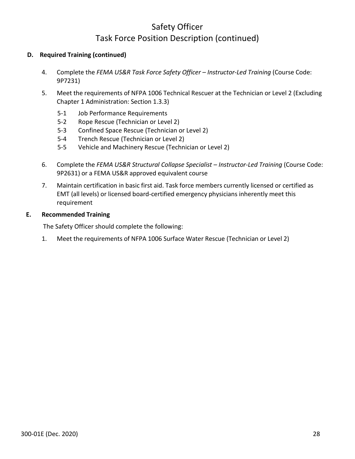### Safety Officer Task Force Position Description (continued)

### **D. Required Training (continued)**

- 4. Complete the *FEMA US&R Task Force Safety Officer – Instructor-Led Training* (Course Code: 9P7231)
- 5. Meet the requirements of NFPA 1006 Technical Rescuer at the Technician or Level 2 (Excluding Chapter 1 Administration: Section 1.3.3)
	- 5-1 Job Performance Requirements
	- 5-2 Rope Rescue (Technician or Level 2)
	- 5-3 Confined Space Rescue (Technician or Level 2)
	- 5-4 Trench Rescue (Technician or Level 2)
	- 5-5 Vehicle and Machinery Rescue (Technician or Level 2)
- 6. Complete the *FEMA US&R Structural Collapse Specialist – Instructor-Led Training* (Course Code: 9P2631) or a FEMA US&R approved equivalent course
- 7. Maintain certification in basic first aid. Task force members currently licensed or certified as EMT (all levels) or licensed board-certified emergency physicians inherently meet this requirement

### **E. Recommended Training**

The Safety Officer should complete the following:

1. Meet the requirements of NFPA 1006 Surface Water Rescue (Technician or Level 2)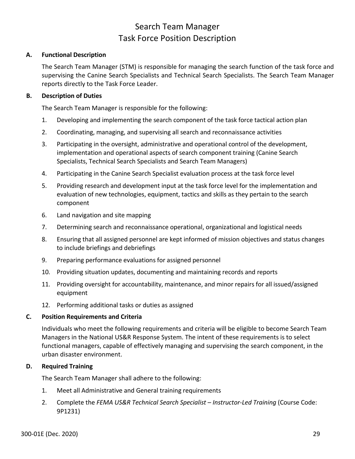### Search Team Manager Task Force Position Description

### <span id="page-33-0"></span>**A. Functional Description**

The Search Team Manager (STM) is responsible for managing the search function of the task force and supervising the Canine Search Specialists and Technical Search Specialists. The Search Team Manager reports directly to the Task Force Leader.

### **B. Description of Duties**

The Search Team Manager is responsible for the following:

- 1. Developing and implementing the search component of the task force tactical action plan
- 2. Coordinating, managing, and supervising all search and reconnaissance activities
- 3. Participating in the oversight, administrative and operational control of the development, implementation and operational aspects of search component training (Canine Search Specialists, Technical Search Specialists and Search Team Managers)
- 4. Participating in the Canine Search Specialist evaluation process at the task force level
- 5. Providing research and development input at the task force level for the implementation and evaluation of new technologies, equipment, tactics and skills as they pertain to the search component
- 6. Land navigation and site mapping
- 7. Determining search and reconnaissance operational, organizational and logistical needs
- 8. Ensuring that all assigned personnel are kept informed of mission objectives and status changes to include briefings and debriefings
- 9. Preparing performance evaluations for assigned personnel
- 10. Providing situation updates, documenting and maintaining records and reports
- 11. Providing oversight for accountability, maintenance, and minor repairs for all issued/assigned equipment
- 12. Performing additional tasks or duties as assigned

### **C. Position Requirements and Criteria**

Individuals who meet the following requirements and criteria will be eligible to become Search Team Managers in the National US&R Response System. The intent of these requirements is to select functional managers, capable of effectively managing and supervising the search component, in the urban disaster environment.

### **D. Required Training**

The Search Team Manager shall adhere to the following:

- 1. Meet all Administrative and General training requirements
- 2. Complete the *FEMA US&R Technical Search Specialist – Instructor-Led Training* (Course Code: 9P1231)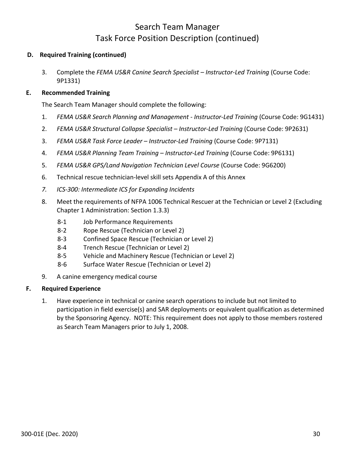### Search Team Manager Task Force Position Description (continued)

### **D. Required Training (continued)**

3. Complete the *FEMA US&R Canine Search Specialist – Instructor-Led Training* (Course Code: 9P1331)

### **E. Recommended Training**

The Search Team Manager should complete the following:

- 1. *FEMA US&R Search Planning and Management - Instructor-Led Training* (Course Code: 9G1431)
- 2. *FEMA US&R Structural Collapse Specialist – Instructor-Led Training* (Course Code: 9P2631)
- 3. *FEMA US&R Task Force Leader – Instructor-Led Training* (Course Code: 9P7131)
- 4. *FEMA US&R Planning Team Training – Instructor-Led Training* (Course Code: 9P6131)
- 5. *FEMA US&R GPS/Land Navigation Technician Level Course* (Course Code: 9G6200)
- 6. Technical rescue technician-level skill sets Appendix A of this Annex
- *7. ICS-300: Intermediate ICS for Expanding Incidents*
- 8. Meet the requirements of NFPA 1006 Technical Rescuer at the Technician or Level 2 (Excluding Chapter 1 Administration: Section 1.3.3)
	- 8-1 Job Performance Requirements
	- 8-2 Rope Rescue (Technician or Level 2)
	- 8-3 Confined Space Rescue (Technician or Level 2)
	- 8-4 Trench Rescue (Technician or Level 2)
	- 8-5 Vehicle and Machinery Rescue (Technician or Level 2)
	- 8-6 Surface Water Rescue (Technician or Level 2)
- 9. A canine emergency medical course

### **F. Required Experience**

1. Have experience in technical or canine search operations to include but not limited to participation in field exercise(s) and SAR deployments or equivalent qualification as determined by the Sponsoring Agency. NOTE: This requirement does not apply to those members rostered as Search Team Managers prior to July 1, 2008.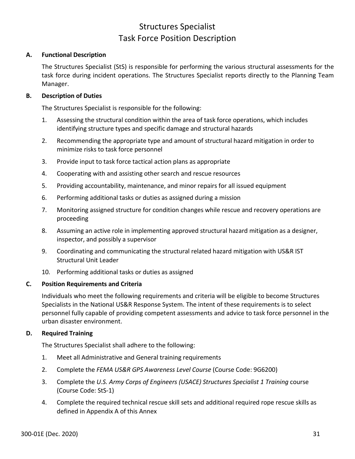### Structures Specialist Task Force Position Description

### <span id="page-35-0"></span>**A. Functional Description**

The Structures Specialist (StS) is responsible for performing the various structural assessments for the task force during incident operations. The Structures Specialist reports directly to the Planning Team Manager.

### **B. Description of Duties**

The Structures Specialist is responsible for the following:

- 1. Assessing the structural condition within the area of task force operations, which includes identifying structure types and specific damage and structural hazards
- 2. Recommending the appropriate type and amount of structural hazard mitigation in order to minimize risks to task force personnel
- 3. Provide input to task force tactical action plans as appropriate
- 4. Cooperating with and assisting other search and rescue resources
- 5. Providing accountability, maintenance, and minor repairs for all issued equipment
- 6. Performing additional tasks or duties as assigned during a mission
- 7. Monitoring assigned structure for condition changes while rescue and recovery operations are proceeding
- 8. Assuming an active role in implementing approved structural hazard mitigation as a designer, inspector, and possibly a supervisor
- 9. Coordinating and communicating the structural related hazard mitigation with US&R IST Structural Unit Leader
- 10. Performing additional tasks or duties as assigned

### **C. Position Requirements and Criteria**

Individuals who meet the following requirements and criteria will be eligible to become Structures Specialists in the National US&R Response System. The intent of these requirements is to select personnel fully capable of providing competent assessments and advice to task force personnel in the urban disaster environment.

### **D. Required Training**

The Structures Specialist shall adhere to the following:

- 1. Meet all Administrative and General training requirements
- 2. Complete the *FEMA US&R GPS Awareness Level Course* (Course Code: 9G6200)
- 3. Complete the *U.S. Army Corps of Engineers (USACE) Structures Specialist 1 Training* course (Course Code: StS-1)
- 4. Complete the required technical rescue skill sets and additional required rope rescue skills as defined in Appendix A of this Annex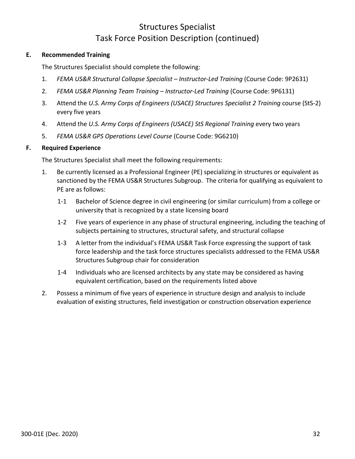# Structures Specialist Task Force Position Description (continued)

## **E. Recommended Training**

The Structures Specialist should complete the following:

- 1. *FEMA US&R Structural Collapse Specialist – Instructor-Led Training* (Course Code: 9P2631)
- 2. *FEMA US&R Planning Team Training – Instructor-Led Training* (Course Code: 9P6131)
- 3. Attend the *U.S. Army Corps of Engineers (USACE) Structures Specialist 2 Training* course (StS-2) every five years
- 4. Attend the *U.S. Army Corps of Engineers (USACE) StS Regional Training* every two years
- 5. *FEMA US&R GPS Operations Level Course* (Course Code: 9G6210)

## **F. Required Experience**

The Structures Specialist shall meet the following requirements:

- 1. Be currently licensed as a Professional Engineer (PE) specializing in structures or equivalent as sanctioned by the FEMA US&R Structures Subgroup. The criteria for qualifying as equivalent to PE are as follows:
	- 1-1 Bachelor of Science degree in civil engineering (or similar curriculum) from a college or university that is recognized by a state licensing board
	- 1-2 Five years of experience in any phase of structural engineering, including the teaching of subjects pertaining to structures, structural safety, and structural collapse
	- 1-3 A letter from the individual's FEMA US&R Task Force expressing the support of task force leadership and the task force structures specialists addressed to the FEMA US&R Structures Subgroup chair for consideration
	- 1-4 Individuals who are licensed architects by any state may be considered as having equivalent certification, based on the requirements listed above
- 2. Possess a minimum of five years of experience in structure design and analysis to include evaluation of existing structures, field investigation or construction observation experience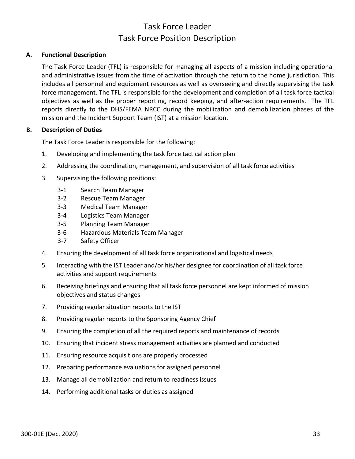## Task Force Leader Task Force Position Description

## **A. Functional Description**

The Task Force Leader (TFL) is responsible for managing all aspects of a mission including operational and administrative issues from the time of activation through the return to the home jurisdiction. This includes all personnel and equipment resources as well as overseeing and directly supervising the task force management. The TFL is responsible for the development and completion of all task force tactical objectives as well as the proper reporting, record keeping, and after-action requirements. The TFL reports directly to the DHS/FEMA NRCC during the mobilization and demobilization phases of the mission and the Incident Support Team (IST) at a mission location.

## **B. Description of Duties**

The Task Force Leader is responsible for the following:

- 1. Developing and implementing the task force tactical action plan
- 2. Addressing the coordination, management, and supervision of all task force activities
- 3. Supervising the following positions:
	- 3-1 Search Team Manager
	- 3-2 Rescue Team Manager
	- 3-3 Medical Team Manager
	- 3-4 Logistics Team Manager
	- 3-5 Planning Team Manager
	- 3-6 Hazardous Materials Team Manager
	- 3-7 Safety Officer
- 4. Ensuring the development of all task force organizational and logistical needs
- 5. Interacting with the IST Leader and/or his/her designee for coordination of all task force activities and support requirements
- 6. Receiving briefings and ensuring that all task force personnel are kept informed of mission objectives and status changes
- 7. Providing regular situation reports to the IST
- 8. Providing regular reports to the Sponsoring Agency Chief
- 9. Ensuring the completion of all the required reports and maintenance of records
- 10. Ensuring that incident stress management activities are planned and conducted
- 11. Ensuring resource acquisitions are properly processed
- 12. Preparing performance evaluations for assigned personnel
- 13. Manage all demobilization and return to readiness issues
- 14. Performing additional tasks or duties as assigned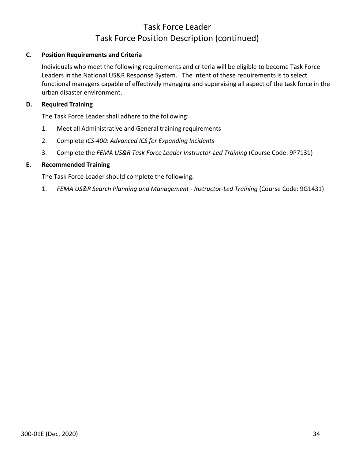# Task Force Leader Task Force Position Description (continued)

## **C. Position Requirements and Criteria**

Individuals who meet the following requirements and criteria will be eligible to become Task Force Leaders in the National US&R Response System. The intent of these requirements is to select functional managers capable of effectively managing and supervising all aspect of the task force in the urban disaster environment.

## **D. Required Training**

The Task Force Leader shall adhere to the following:

- 1. Meet all Administrative and General training requirements
- 2. Complete *ICS-400: Advanced ICS for Expanding Incidents*
- 3. Complete the *FEMA US&R Task Force Leader Instructor-Led Training* (Course Code: 9P7131)

## **E. Recommended Training**

The Task Force Leader should complete the following:

1. *FEMA US&R Search Planning and Management - Instructor-Led Training* (Course Code: 9G1431)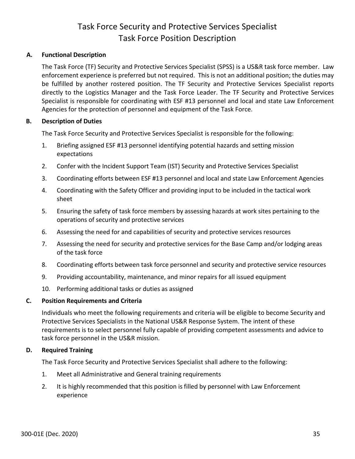## Task Force Security and Protective Services Specialist Task Force Position Description

## **A. Functional Description**

The Task Force (TF) Security and Protective Services Specialist (SPSS) is a US&R task force member. Law enforcement experience is preferred but not required. This is not an additional position; the duties may be fulfilled by another rostered position. The TF Security and Protective Services Specialist reports directly to the Logistics Manager and the Task Force Leader. The TF Security and Protective Services Specialist is responsible for coordinating with ESF #13 personnel and local and state Law Enforcement Agencies for the protection of personnel and equipment of the Task Force.

## **B. Description of Duties**

The Task Force Security and Protective Services Specialist is responsible for the following:

- 1. Briefing assigned ESF #13 personnel identifying potential hazards and setting mission expectations
- 2. Confer with the Incident Support Team (IST) Security and Protective Services Specialist
- 3. Coordinating efforts between ESF #13 personnel and local and state Law Enforcement Agencies
- 4. Coordinating with the Safety Officer and providing input to be included in the tactical work sheet
- 5. Ensuring the safety of task force members by assessing hazards at work sites pertaining to the operations of security and protective services
- 6. Assessing the need for and capabilities of security and protective services resources
- 7. Assessing the need for security and protective services for the Base Camp and/or lodging areas of the task force
- 8. Coordinating efforts between task force personnel and security and protective service resources
- 9. Providing accountability, maintenance, and minor repairs for all issued equipment
- 10. Performing additional tasks or duties as assigned

## **C. Position Requirements and Criteria**

Individuals who meet the following requirements and criteria will be eligible to become Security and Protective Services Specialists in the National US&R Response System. The intent of these requirements is to select personnel fully capable of providing competent assessments and advice to task force personnel in the US&R mission.

## **D. Required Training**

The Task Force Security and Protective Services Specialist shall adhere to the following:

- 1. Meet all Administrative and General training requirements
- 2. It is highly recommended that this position is filled by personnel with Law Enforcement experience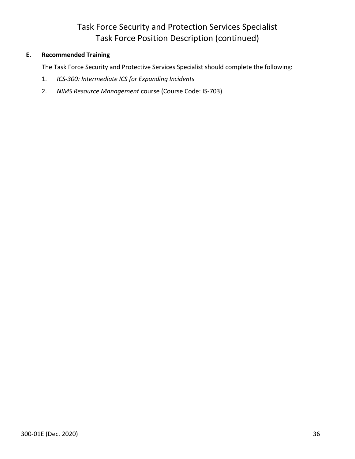# Task Force Security and Protection Services Specialist Task Force Position Description (continued)

## **E. Recommended Training**

The Task Force Security and Protective Services Specialist should complete the following:

- 1. *ICS-300: Intermediate ICS for Expanding Incidents*
- 2. *NIMS Resource Management* course (Course Code: IS-703)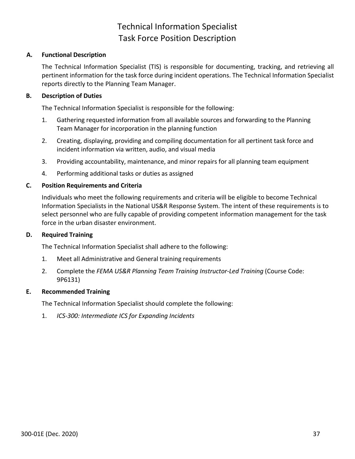## Technical Information Specialist Task Force Position Description

## **A. Functional Description**

The Technical Information Specialist (TIS) is responsible for documenting, tracking, and retrieving all pertinent information for the task force during incident operations. The Technical Information Specialist reports directly to the Planning Team Manager.

## **B. Description of Duties**

The Technical Information Specialist is responsible for the following:

- 1. Gathering requested information from all available sources and forwarding to the Planning Team Manager for incorporation in the planning function
- 2. Creating, displaying, providing and compiling documentation for all pertinent task force and incident information via written, audio, and visual media
- 3. Providing accountability, maintenance, and minor repairs for all planning team equipment
- 4. Performing additional tasks or duties as assigned

## **C. Position Requirements and Criteria**

Individuals who meet the following requirements and criteria will be eligible to become Technical Information Specialists in the National US&R Response System. The intent of these requirements is to select personnel who are fully capable of providing competent information management for the task force in the urban disaster environment.

## **D. Required Training**

The Technical Information Specialist shall adhere to the following:

- 1. Meet all Administrative and General training requirements
- 2. Complete the *FEMA US&R Planning Team Training Instructor-Led Training* (Course Code: 9P6131)

## **E. Recommended Training**

The Technical Information Specialist should complete the following:

1. *ICS-300: Intermediate ICS for Expanding Incidents*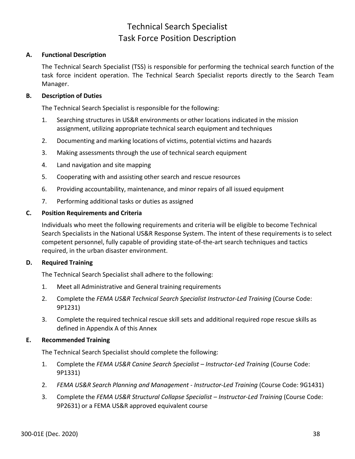## Technical Search Specialist Task Force Position Description

## **A. Functional Description**

The Technical Search Specialist (TSS) is responsible for performing the technical search function of the task force incident operation. The Technical Search Specialist reports directly to the Search Team Manager.

## **B. Description of Duties**

The Technical Search Specialist is responsible for the following:

- 1. Searching structures in US&R environments or other locations indicated in the mission assignment, utilizing appropriate technical search equipment and techniques
- 2. Documenting and marking locations of victims, potential victims and hazards
- 3. Making assessments through the use of technical search equipment
- 4. Land navigation and site mapping
- 5. Cooperating with and assisting other search and rescue resources
- 6. Providing accountability, maintenance, and minor repairs of all issued equipment
- 7. Performing additional tasks or duties as assigned

## **C. Position Requirements and Criteria**

Individuals who meet the following requirements and criteria will be eligible to become Technical Search Specialists in the National US&R Response System. The intent of these requirements is to select competent personnel, fully capable of providing state-of-the-art search techniques and tactics required, in the urban disaster environment.

## **D. Required Training**

The Technical Search Specialist shall adhere to the following:

- 1. Meet all Administrative and General training requirements
- 2. Complete the *FEMA US&R Technical Search Specialist Instructor-Led Training* (Course Code: 9P1231)
- 3. Complete the required technical rescue skill sets and additional required rope rescue skills as defined in Appendix A of this Annex

## **E. Recommended Training**

The Technical Search Specialist should complete the following:

- 1. Complete the *FEMA US&R Canine Search Specialist – Instructor-Led Training* (Course Code: 9P1331)
- 2. *FEMA US&R Search Planning and Management - Instructor-Led Training* (Course Code: 9G1431)
- 3. Complete the *FEMA US&R Structural Collapse Specialist – Instructor-Led Training* (Course Code: 9P2631) or a FEMA US&R approved equivalent course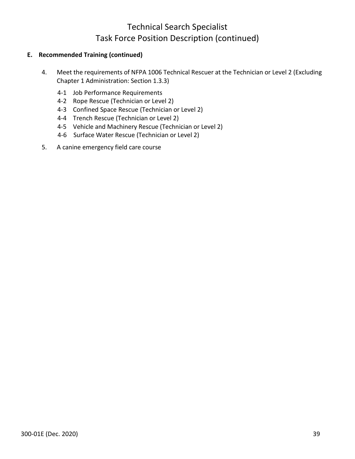# Technical Search Specialist Task Force Position Description (continued)

## **E. Recommended Training (continued)**

- 4. Meet the requirements of NFPA 1006 Technical Rescuer at the Technician or Level 2 (Excluding Chapter 1 Administration: Section 1.3.3)
	- 4-1 Job Performance Requirements
	- 4-2 Rope Rescue (Technician or Level 2)
	- 4-3 Confined Space Rescue (Technician or Level 2)
	- 4-4 Trench Rescue (Technician or Level 2)
	- 4-5 Vehicle and Machinery Rescue (Technician or Level 2)
	- 4-6 Surface Water Rescue (Technician or Level 2)
- 5. A canine emergency field care course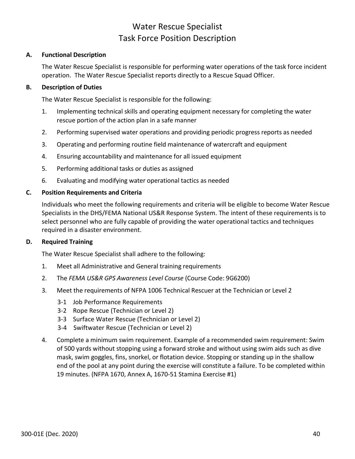## Water Rescue Specialist Task Force Position Description

## **A. Functional Description**

The Water Rescue Specialist is responsible for performing water operations of the task force incident operation. The Water Rescue Specialist reports directly to a Rescue Squad Officer.

## **B. Description of Duties**

The Water Rescue Specialist is responsible for the following:

- 1. Implementing technical skills and operating equipment necessary for completing the water rescue portion of the action plan in a safe manner
- 2. Performing supervised water operations and providing periodic progress reports as needed
- 3. Operating and performing routine field maintenance of watercraft and equipment
- 4. Ensuring accountability and maintenance for all issued equipment
- 5. Performing additional tasks or duties as assigned
- 6. Evaluating and modifying water operational tactics as needed

## **C. Position Requirements and Criteria**

Individuals who meet the following requirements and criteria will be eligible to become Water Rescue Specialists in the DHS/FEMA National US&R Response System. The intent of these requirements is to select personnel who are fully capable of providing the water operational tactics and techniques required in a disaster environment.

## **D. Required Training**

The Water Rescue Specialist shall adhere to the following:

- 1. Meet all Administrative and General training requirements
- 2. The *FEMA US&R GPS Awareness Level Course* (Course Code: 9G6200)
- 3. Meet the requirements of NFPA 1006 Technical Rescuer at the Technician or Level 2
	- 3-1 Job Performance Requirements
	- 3-2 Rope Rescue (Technician or Level 2)
	- 3-3 Surface Water Rescue (Technician or Level 2)
	- 3-4 Swiftwater Rescue (Technician or Level 2)
- 4. Complete a minimum swim requirement. Example of a recommended swim requirement: Swim of 500 yards without stopping using a forward stroke and without using swim aids such as dive mask, swim goggles, fins, snorkel, or flotation device. Stopping or standing up in the shallow end of the pool at any point during the exercise will constitute a failure. To be completed within 19 minutes. (NFPA 1670, Annex A, 1670-51 Stamina Exercise #1)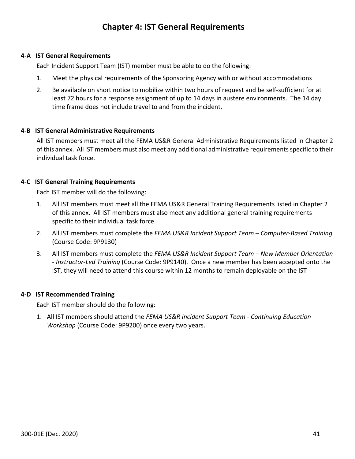## **Chapter 4: IST General Requirements**

## **4-A IST General Requirements**

Each Incident Support Team (IST) member must be able to do the following:

- 1. Meet the physical requirements of the Sponsoring Agency with or without accommodations
- 2. Be available on short notice to mobilize within two hours of request and be self-sufficient for at least 72 hours for a response assignment of up to 14 days in austere environments. The 14 day time frame does not include travel to and from the incident.

#### **4-B IST General Administrative Requirements**

All IST members must meet all the FEMA US&R General Administrative Requirements listed in Chapter 2 of this annex. All IST members must also meet any additional administrative requirements specific to their individual task force.

#### **4-C IST General Training Requirements**

Each IST member will do the following:

- 1. All IST members must meet all the FEMA US&R General Training Requirements listed in Chapter 2 of this annex. All IST members must also meet any additional general training requirements specific to their individual task force.
- 2. All IST members must complete the *FEMA US&R Incident Support Team – Computer-Based Training* (Course Code: 9P9130)
- 3. All IST members must complete the *FEMA US&R Incident Support Team – New Member Orientation - Instructor-Led Training* (Course Code: 9P9140). Once a new member has been accepted onto the IST, they will need to attend this course within 12 months to remain deployable on the IST

## **4-D IST Recommended Training**

Each IST member should do the following:

1. All IST members should attend the *FEMA US&R Incident Support Team - Continuing Education Workshop* (Course Code: 9P9200) once every two years.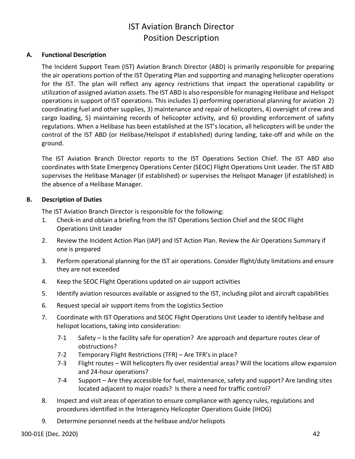# IST Aviation Branch Director Position Description

## **A. Functional Description**

The Incident Support Team (IST) Aviation Branch Director (ABD) is primarily responsible for preparing the air operations portion of the IST Operating Plan and supporting and managing helicopter operations for the IST. The plan will reflect any agency restrictions that impact the operational capability or utilization of assigned aviation assets. The IST ABD is also responsible for managing Helibase and Helispot operations in support of IST operations. This includes 1) performing operational planning for aviation 2) coordinating fuel and other supplies, 3) maintenance and repair of helicopters, 4) oversight of crew and cargo loading, 5) maintaining records of helicopter activity, and 6) providing enforcement of safety regulations. When a Helibase has been established at the IST's location, all helicopters will be under the control of the IST ABD (or Helibase/Helispot if established) during landing, take-off and while on the ground.

The IST Aviation Branch Director reports to the IST Operations Section Chief. The IST ABD also coordinates with State Emergency Operations Center (SEOC) Flight Operations Unit Leader. The IST ABD supervises the Helibase Manager (if established) or supervises the Helispot Manager (if established) in the absence of a Helibase Manager.

## **B. Description of Duties**

The IST Aviation Branch Director is responsible for the following:

- 1. Check-in and obtain a briefing from the IST Operations Section Chief and the SEOC Flight Operations Unit Leader
- 2. Review the Incident Action Plan (IAP) and IST Action Plan. Review the Air Operations Summary if one is prepared
- 3. Perform operational planning for the IST air operations. Consider flight/duty limitations and ensure they are not exceeded
- 4. Keep the SEOC Flight Operations updated on air support activities
- 5. Identify aviation resources available or assigned to the IST, including pilot and aircraft capabilities
- 6. Request special air support items from the Logistics Section
- 7. Coordinate with IST Operations and SEOC Flight Operations Unit Leader to identify helibase and helispot locations, taking into consideration:
	- 7-1 Safety Is the facility safe for operation? Are approach and departure routes clear of obstructions?
	- 7-2 Temporary Flight Restrictions (TFR) Are TFR's in place?
	- 7-3 Flight routes Will helicopters fly over residential areas? Will the locations allow expansion and 24-hour operations?
	- 7-4 Support Are they accessible for fuel, maintenance, safety and support? Are landing sites located adjacent to major roads? Is there a need for traffic control?
- 8. Inspect and visit areas of operation to ensure compliance with agency rules, regulations and procedures identified in the Interagency Helicopter Operations Guide (IHOG)
- 9. Determine personnel needs at the helibase and/or helispots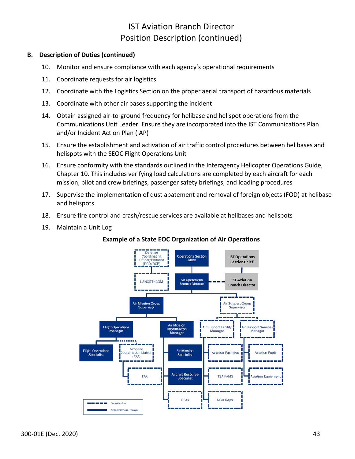## IST Aviation Branch Director Position Description (continued)

## **B. Description of Duties (continued)**

- 10. Monitor and ensure compliance with each agency's operational requirements
- 11. Coordinate requests for air logistics
- 12. Coordinate with the Logistics Section on the proper aerial transport of hazardous materials
- 13. Coordinate with other air bases supporting the incident
- 14. Obtain assigned air-to-ground frequency for helibase and helispot operations from the Communications Unit Leader. Ensure they are incorporated into the IST Communications Plan and/or Incident Action Plan (IAP)
- 15. Ensure the establishment and activation of air traffic control procedures between helibases and helispots with the SEOC Flight Operations Unit
- 16. Ensure conformity with the standards outlined in the Interagency Helicopter Operations Guide, Chapter 10. This includes verifying load calculations are completed by each aircraft for each mission, pilot and crew briefings, passenger safety briefings, and loading procedures
- 17. Supervise the implementation of dust abatement and removal of foreign objects (FOD) at helibase and helispots
- 18. Ensure fire control and crash/rescue services are available at helibases and helispots
- 19. Maintain a Unit Log



## **Example of a State EOC Organization of Air Operations**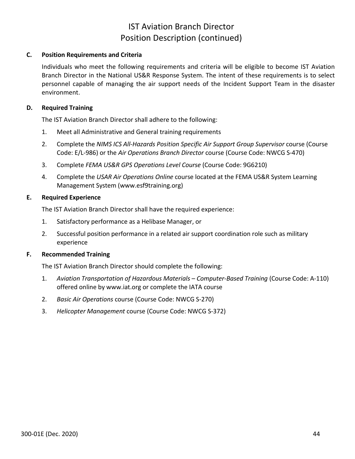## IST Aviation Branch Director Position Description (continued)

## **C. Position Requirements and Criteria**

Individuals who meet the following requirements and criteria will be eligible to become IST Aviation Branch Director in the National US&R Response System. The intent of these requirements is to select personnel capable of managing the air support needs of the Incident Support Team in the disaster environment.

## **D. Required Training**

The IST Aviation Branch Director shall adhere to the following:

- 1. Meet all Administrative and General training requirements
- 2. Complete the *NIMS ICS All-Hazards Position Specific Air Support Group Supervisor* course (Course Code: E/L-986) or the *Air Operations Branch Director* course (Course Code: NWCG S-470)
- 3. Complete *FEMA US&R GPS Operations Level Course* (Course Code: 9G6210)
- 4. Complete the *USAR Air Operations Online* course located at the FEMA US&R System Learning Management System [\(www.esf9training.org\)](http://www.esf9training.org/)

## **E. Required Experience**

The IST Aviation Branch Director shall have the required experience:

- 1. Satisfactory performance as a Helibase Manager, or
- 2. Successful position performance in a related air support coordination role such as military experience

## **F. Recommended Training**

The IST Aviation Branch Director should complete the following:

- 1. *Aviation Transportation of Hazardous Materials – Computer-Based Training* (Course Code: A-110) offered online by www.iat.org or complete the IATA course
- 2. *Basic Air Operations* course (Course Code: NWCG S-270)
- 3. *Helicopter Management* course (Course Code: NWCG S-372)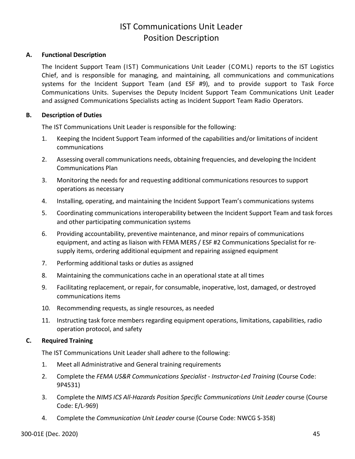## IST Communications Unit Leader Position Description

## **A. Functional Description**

The Incident Support Team (IST) Communications Unit Leader (COML) reports to the IST Logistics Chief, and is responsible for managing, and maintaining, all communications and communications systems for the Incident Support Team (and ESF #9), and to provide support to Task Force Communications Units. Supervises the Deputy Incident Support Team Communications Unit Leader and assigned Communications Specialists acting as Incident Support Team Radio Operators.

## **B. Description of Duties**

The IST Communications Unit Leader is responsible for the following:

- 1. Keeping the Incident Support Team informed of the capabilities and/or limitations of incident communications
- 2. Assessing overall communications needs, obtaining frequencies, and developing the Incident Communications Plan
- 3. Monitoring the needs for and requesting additional communications resources to support operations as necessary
- 4. Installing, operating, and maintaining the Incident Support Team's communications systems
- 5. Coordinating communications interoperability between the Incident Support Team and task forces and other participating communication systems
- 6. Providing accountability, preventive maintenance, and minor repairs of communications equipment, and acting as liaison with FEMA MERS / ESF #2 Communications Specialist for resupply items, ordering additional equipment and repairing assigned equipment
- 7. Performing additional tasks or duties as assigned
- 8. Maintaining the communications cache in an operational state at all times
- 9. Facilitating replacement, or repair, for consumable, inoperative, lost, damaged, or destroyed communications items
- 10. Recommending requests, as single resources, as needed
- 11. Instructing task force members regarding equipment operations, limitations, capabilities, radio operation protocol, and safety

## **C. Required Training**

The IST Communications Unit Leader shall adhere to the following:

- 1. Meet all Administrative and General training requirements
- 2. Complete the *FEMA US&R Communications Specialist - Instructor-Led Training* (Course Code: 9P4531)
- 3. Complete the *NIMS ICS All-Hazards Position Specific Communications Unit Leader* course (Course Code: E/L-969)
- 4. Complete the *Communication Unit Leader* course (Course Code: NWCG S-358)

300-01E (Dec. 2020) 45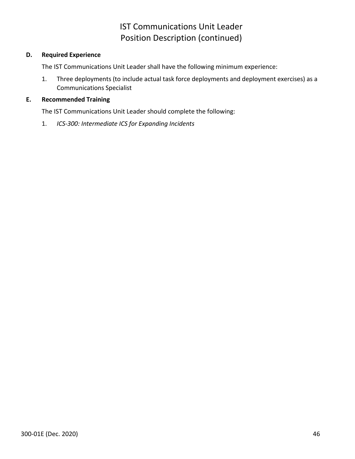# IST Communications Unit Leader Position Description (continued)

## **D. Required Experience**

The IST Communications Unit Leader shall have the following minimum experience:

1. Three deployments (to include actual task force deployments and deployment exercises) as a Communications Specialist

## **E. Recommended Training**

The IST Communications Unit Leader should complete the following:

1. *ICS-300: Intermediate ICS for Expanding Incidents*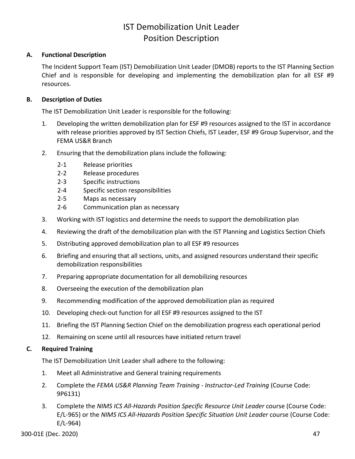# IST Demobilization Unit Leader Position Description

## **A. Functional Description**

The Incident Support Team (IST) Demobilization Unit Leader (DMOB) reports to the IST Planning Section Chief and is responsible for developing and implementing the demobilization plan for all ESF #9 resources.

## **B. Description of Duties**

The IST Demobilization Unit Leader is responsible for the following:

- 1. Developing the written demobilization plan for ESF #9 resources assigned to the IST in accordance with release priorities approved by IST Section Chiefs, IST Leader, ESF #9 Group Supervisor, and the FEMA US&R Branch
- 2. Ensuring that the demobilization plans include the following:
	- 2-1 Release priorities
	- 2-2 Release procedures
	- 2-3 Specific instructions
	- 2-4 Specific section responsibilities
	- 2-5 Maps as necessary
	- 2-6 Communication plan as necessary
- 3. Working with IST logistics and determine the needs to support the demobilization plan
- 4. Reviewing the draft of the demobilization plan with the IST Planning and Logistics Section Chiefs
- 5. Distributing approved demobilization plan to all ESF #9 resources
- 6. Briefing and ensuring that all sections, units, and assigned resources understand their specific demobilization responsibilities
- 7. Preparing appropriate documentation for all demobilizing resources
- 8. Overseeing the execution of the demobilization plan
- 9. Recommending modification of the approved demobilization plan as required
- 10. Developing check-out function for all ESF #9 resources assigned to the IST
- 11. Briefing the IST Planning Section Chief on the demobilization progress each operational period
- 12. Remaining on scene until all resources have initiated return travel

## **C. Required Training**

The IST Demobilization Unit Leader shall adhere to the following:

- 1. Meet all Administrative and General training requirements
- 2. Complete the *FEMA US&R Planning Team Training - Instructor-Led Training* (Course Code: 9P6131)
- 3. Complete the *NIMS ICS All-Hazards Position Specific Resource Unit Leader* course (Course Code: E/L-965) or the *NIMS ICS All-Hazards Position Specific Situation Unit Leader* course (Course Code: E/L-964)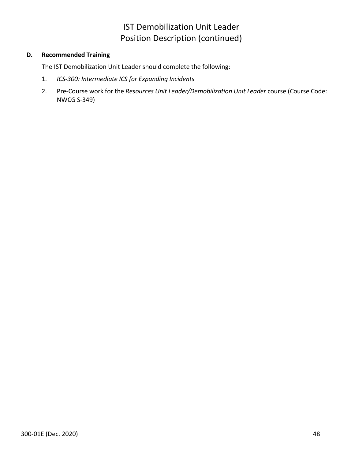# IST Demobilization Unit Leader Position Description (continued)

## **D. Recommended Training**

The IST Demobilization Unit Leader should complete the following:

- 1. *ICS-300: Intermediate ICS for Expanding Incidents*
- 2. Pre-Course work for the *Resources Unit Leader/Demobilization Unit Leader* course (Course Code: NWCG S-349)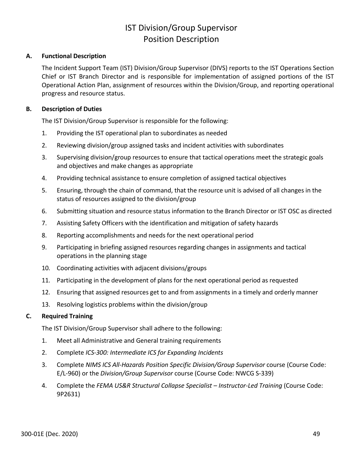# IST Division/Group Supervisor Position Description

## **A. Functional Description**

The Incident Support Team (IST) Division/Group Supervisor (DIVS) reports to the IST Operations Section Chief or IST Branch Director and is responsible for implementation of assigned portions of the IST Operational Action Plan, assignment of resources within the Division/Group, and reporting operational progress and resource status.

## **B. Description of Duties**

The IST Division/Group Supervisor is responsible for the following:

- 1. Providing the IST operational plan to subordinates as needed
- 2. Reviewing division/group assigned tasks and incident activities with subordinates
- 3. Supervising division/group resources to ensure that tactical operations meet the strategic goals and objectives and make changes as appropriate
- 4. Providing technical assistance to ensure completion of assigned tactical objectives
- 5. Ensuring, through the chain of command, that the resource unit is advised of all changes in the status of resources assigned to the division/group
- 6. Submitting situation and resource status information to the Branch Director or IST OSC as directed
- 7. Assisting Safety Officers with the identification and mitigation of safety hazards
- 8. Reporting accomplishments and needs for the next operational period
- 9. Participating in briefing assigned resources regarding changes in assignments and tactical operations in the planning stage
- 10. Coordinating activities with adjacent divisions/groups
- 11. Participating in the development of plans for the next operational period as requested
- 12. Ensuring that assigned resources get to and from assignments in a timely and orderly manner
- 13. Resolving logistics problems within the division/group

## **C. Required Training**

The IST Division/Group Supervisor shall adhere to the following:

- 1. Meet all Administrative and General training requirements
- 2. Complete *ICS-300: Intermediate ICS for Expanding Incidents*
- 3. Complete *NIMS ICS All-Hazards Position Specific Division/Group Supervisor* course (Course Code: E/L-960) or the *Division/Group Supervisor* course (Course Code: NWCG S-339)
- 4. Complete the *FEMA US&R Structural Collapse Specialist – Instructor-Led Training* (Course Code: 9P2631)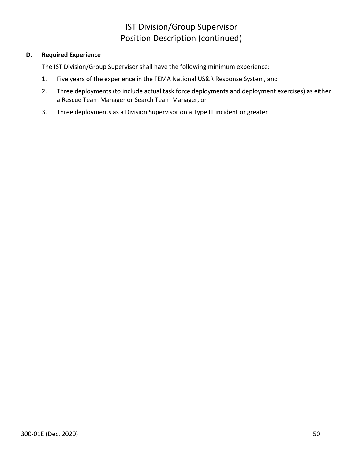# IST Division/Group Supervisor Position Description (continued)

## **D. Required Experience**

The IST Division/Group Supervisor shall have the following minimum experience:

- 1. Five years of the experience in the FEMA National US&R Response System, and
- 2. Three deployments (to include actual task force deployments and deployment exercises) as either a Rescue Team Manager or Search Team Manager, or
- 3. Three deployments as a Division Supervisor on a Type III incident or greater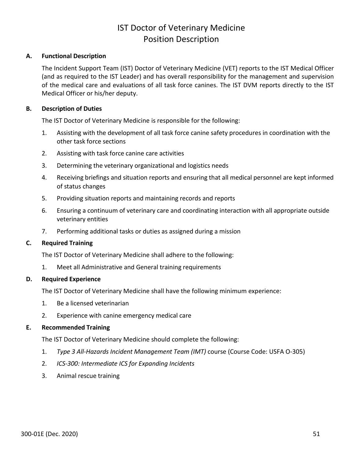## IST Doctor of Veterinary Medicine Position Description

## **A. Functional Description**

The Incident Support Team (IST) Doctor of Veterinary Medicine (VET) reports to the IST Medical Officer (and as required to the IST Leader) and has overall responsibility for the management and supervision of the medical care and evaluations of all task force canines. The IST DVM reports directly to the IST Medical Officer or his/her deputy.

#### **B. Description of Duties**

The IST Doctor of Veterinary Medicine is responsible for the following:

- 1. Assisting with the development of all task force canine safety procedures in coordination with the other task force sections
- 2. Assisting with task force canine care activities
- 3. Determining the veterinary organizational and logistics needs
- 4. Receiving briefings and situation reports and ensuring that all medical personnel are kept informed of status changes
- 5. Providing situation reports and maintaining records and reports
- 6. Ensuring a continuum of veterinary care and coordinating interaction with all appropriate outside veterinary entities
- 7. Performing additional tasks or duties as assigned during a mission

#### **C. Required Training**

The IST Doctor of Veterinary Medicine shall adhere to the following:

1. Meet all Administrative and General training requirements

#### **D. Required Experience**

The IST Doctor of Veterinary Medicine shall have the following minimum experience:

- 1. Be a licensed veterinarian
- 2. Experience with canine emergency medical care

#### **E. Recommended Training**

The IST Doctor of Veterinary Medicine should complete the following:

- 1. *Type 3 All-Hazards Incident Management Team (IMT)* course (Course Code: USFA O-305)
- 2. *ICS-300: Intermediate ICS for Expanding Incidents*
- 3. Animal rescue training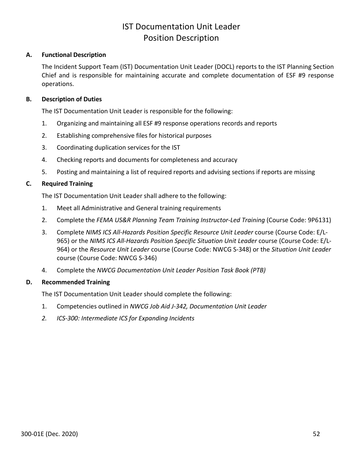## IST Documentation Unit Leader Position Description

## **A. Functional Description**

The Incident Support Team (IST) Documentation Unit Leader (DOCL) reports to the IST Planning Section Chief and is responsible for maintaining accurate and complete documentation of ESF #9 response operations.

## **B. Description of Duties**

The IST Documentation Unit Leader is responsible for the following:

- 1. Organizing and maintaining all ESF #9 response operations records and reports
- 2. Establishing comprehensive files for historical purposes
- 3. Coordinating duplication services for the IST
- 4. Checking reports and documents for completeness and accuracy
- 5. Posting and maintaining a list of required reports and advising sections if reports are missing

## **C. Required Training**

The IST Documentation Unit Leader shall adhere to the following:

- 1. Meet all Administrative and General training requirements
- 2. Complete the *FEMA US&R Planning Team Training Instructor-Led Training* (Course Code: 9P6131)
- 3. Complete *NIMS ICS All-Hazards Position Specific Resource Unit Leader* course (Course Code: E/L-965) or the *NIMS ICS All-Hazards Position Specific Situation Unit Leader* course (Course Code: E/L-964) or the *Resource Unit Leader* course (Course Code: NWCG S-348) or the *Situation Unit Leader* course (Course Code: NWCG S-346)
- 4. Complete the *NWCG Documentation Unit Leader Position Task Book (PTB)*

## **D. Recommended Training**

The IST Documentation Unit Leader should complete the following:

- 1. Competencies outlined in *NWCG Job Aid J-342, Documentation Unit Leader*
- *2. ICS-300: Intermediate ICS for Expanding Incidents*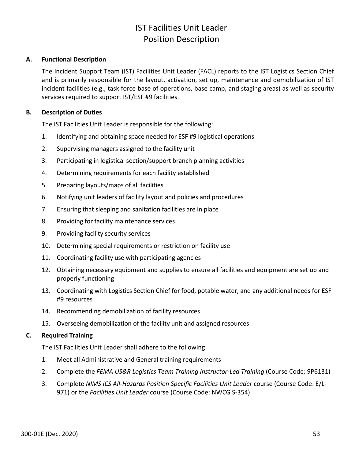# IST Facilities Unit Leader Position Description

## **A. Functional Description**

The Incident Support Team (IST) Facilities Unit Leader (FACL) reports to the IST Logistics Section Chief and is primarily responsible for the layout, activation, set up, maintenance and demobilization of IST incident facilities (e.g., task force base of operations, base camp, and staging areas) as well as security services required to support IST/ESF #9 facilities.

## **B. Description of Duties**

The IST Facilities Unit Leader is responsible for the following:

- 1. Identifying and obtaining space needed for ESF #9 logistical operations
- 2. Supervising managers assigned to the facility unit
- 3. Participating in logistical section/support branch planning activities
- 4. Determining requirements for each facility established
- 5. Preparing layouts/maps of all facilities
- 6. Notifying unit leaders of facility layout and policies and procedures
- 7. Ensuring that sleeping and sanitation facilities are in place
- 8. Providing for facility maintenance services
- 9. Providing facility security services
- 10. Determining special requirements or restriction on facility use
- 11. Coordinating facility use with participating agencies
- 12. Obtaining necessary equipment and supplies to ensure all facilities and equipment are set up and properly functioning
- 13. Coordinating with Logistics Section Chief for food, potable water, and any additional needs for ESF #9 resources
- 14. Recommending demobilization of facility resources
- 15. Overseeing demobilization of the facility unit and assigned resources

## **C. Required Training**

The IST Facilities Unit Leader shall adhere to the following:

- 1. Meet all Administrative and General training requirements
- 2. Complete the *FEMA US&R Logistics Team Training Instructor-Led Training* (Course Code: 9P6131)
- 3. Complete *NIMS ICS All-Hazards Position Specific Facilities Unit Leader* course (Course Code: E/L-971) or the *Facilities Unit Leader* course (Course Code: NWCG S-354)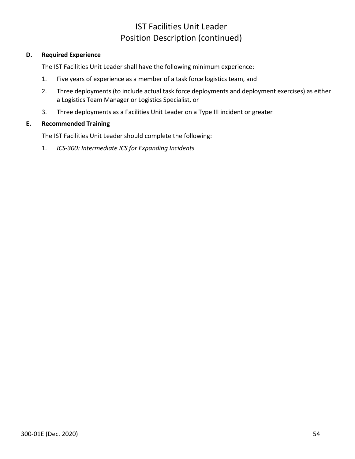# IST Facilities Unit Leader Position Description (continued)

## **D. Required Experience**

The IST Facilities Unit Leader shall have the following minimum experience:

- 1. Five years of experience as a member of a task force logistics team, and
- 2. Three deployments (to include actual task force deployments and deployment exercises) as either a Logistics Team Manager or Logistics Specialist, or
- 3. Three deployments as a Facilities Unit Leader on a Type III incident or greater

## **E. Recommended Training**

The IST Facilities Unit Leader should complete the following:

1. *ICS-300: Intermediate ICS for Expanding Incidents*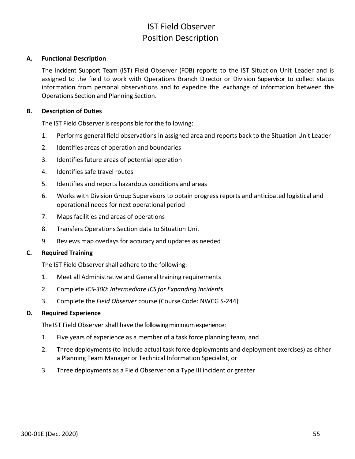# IST Field Observer Position Description

### **A. Functional Description**

The Incident Support Team (IST) Field Observer (FOB) reports to the IST Situation Unit Leader and is assigned to the field to work with Operations Branch Director or Division Supervisor to collect status information from personal observations and to expedite the exchange of information between the Operations Section and Planning Section.

#### **B. Description of Duties**

The IST Field Observer is responsible for the following:

- 1. Performs general field observations in assigned area and reports back to the Situation Unit Leader
- 2. Identifies areas of operation and boundaries
- 3. Identifies future areas of potential operation
- 4. Identifies safe travel routes
- 5. Identifies and reports hazardous conditions and areas
- 6. Works with Division Group Supervisors to obtain progress reports and anticipated logistical and operational needs for next operational period
- 7. Maps facilities and areas of operations
- 8. Transfers Operations Section data to Situation Unit
- 9. Reviews map overlays for accuracy and updates as needed

## **C. Required Training**

The IST Field Observer shall adhere to the following:

- 1. Meet all Administrative and General training requirements
- 2. Complete *ICS-300: Intermediate ICS for Expanding Incidents*
- 3. Complete the *Field Observer* course (Course Code: NWCG S-244)

#### **D. Required Experience**

The IST Field Observer shall have the following minimum experience:

- 1. Five years of experience as a member of a task force planning team, and
- 2. Three deployments (to include actual task force deployments and deployment exercises) as either a Planning Team Manager or Technical Information Specialist, or
- 3. Three deployments as a Field Observer on a Type III incident or greater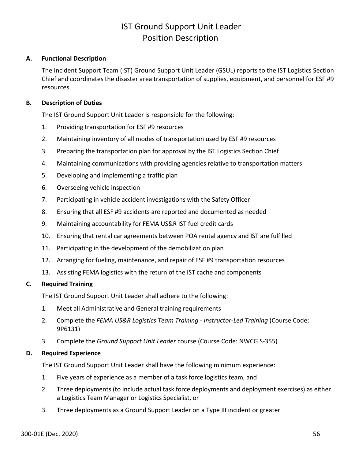## IST Ground Support Unit Leader Position Description

## **A. Functional Description**

The Incident Support Team (IST) Ground Support Unit Leader (GSUL) reports to the IST Logistics Section Chief and coordinates the disaster area transportation of supplies, equipment, and personnel for ESF #9 resources.

## **B. Description of Duties**

The IST Ground Support Unit Leader is responsible for the following:

- 1. Providing transportation for ESF #9 resources
- 2. Maintaining inventory of all modes of transportation used by ESF #9 resources
- 3. Preparing the transportation plan for approval by the IST Logistics Section Chief
- 4. Maintaining communications with providing agencies relative to transportation matters
- 5. Developing and implementing a traffic plan
- 6. Overseeing vehicle inspection
- 7. Participating in vehicle accident investigations with the Safety Officer
- 8. Ensuring that all ESF #9 accidents are reported and documented as needed
- 9. Maintaining accountability for FEMA US&R IST fuel credit cards
- 10. Ensuring that rental car agreements between POA rental agency and IST are fulfilled
- 11. Participating in the development of the demobilization plan
- 12. Arranging for fueling, maintenance, and repair of ESF #9 transportation resources
- 13. Assisting FEMA logistics with the return of the IST cache and components

## **C. Required Training**

The IST Ground Support Unit Leader shall adhere to the following:

- 1. Meet all Administrative and General training requirements
- 2. Complete the *FEMA US&R Logistics Team Training - Instructor-Led Training* (Course Code: 9P6131)
- 3. Complete the *Ground Support Unit Leader* course (Course Code: NWCG S-355)

## **D. Required Experience**

The IST Ground Support Unit Leader shall have the following minimum experience:

- 1. Five years of experience as a member of a task force logistics team, and
- 2. Three deployments (to include actual task force deployments and deployment exercises) as either a Logistics Team Manager or Logistics Specialist, or
- 3. Three deployments as a Ground Support Leader on a Type III incident or greater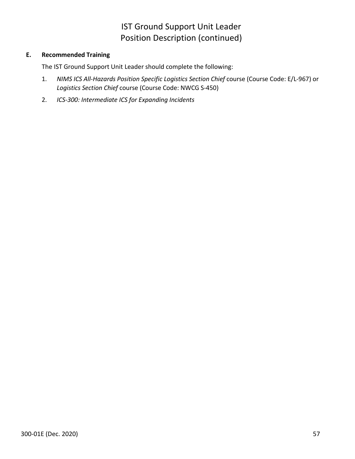# IST Ground Support Unit Leader Position Description (continued)

## **E. Recommended Training**

The IST Ground Support Unit Leader should complete the following:

- 1. *NIMS ICS All-Hazards Position Specific Logistics Section Chief* course (Course Code: E/L-967) or *Logistics Section Chief* course (Course Code: NWCG S-450)
- 2. *ICS-300: Intermediate ICS for Expanding Incidents*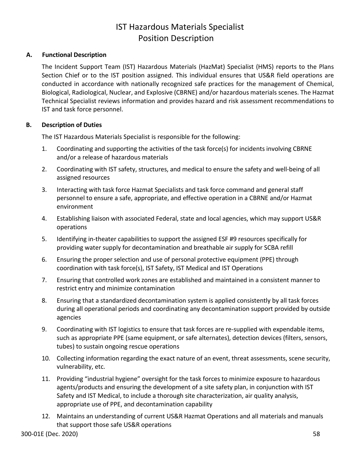# IST Hazardous Materials Specialist Position Description

## **A. Functional Description**

The Incident Support Team (IST) Hazardous Materials (HazMat) Specialist (HMS) reports to the Plans Section Chief or to the IST position assigned. This individual ensures that US&R field operations are conducted in accordance with nationally recognized safe practices for the management of Chemical, Biological, Radiological, Nuclear, and Explosive (CBRNE) and/or hazardous materials scenes. The Hazmat Technical Specialist reviews information and provides hazard and risk assessment recommendations to IST and task force personnel.

## **B. Description of Duties**

The IST Hazardous Materials Specialist is responsible for the following:

- 1. Coordinating and supporting the activities of the task force(s) for incidents involving CBRNE and/or a release of hazardous materials
- 2. Coordinating with IST safety, structures, and medical to ensure the safety and well-being of all assigned resources
- 3. Interacting with task force Hazmat Specialists and task force command and general staff personnel to ensure a safe, appropriate, and effective operation in a CBRNE and/or Hazmat environment
- 4. Establishing liaison with associated Federal, state and local agencies, which may support US&R operations
- 5. Identifying in-theater capabilities to support the assigned ESF #9 resources specifically for providing water supply for decontamination and breathable air supply for SCBA refill
- 6. Ensuring the proper selection and use of personal protective equipment (PPE) through coordination with task force(s), IST Safety, IST Medical and IST Operations
- 7. Ensuring that controlled work zones are established and maintained in a consistent manner to restrict entry and minimize contamination
- 8. Ensuring that a standardized decontamination system is applied consistently by all task forces during all operational periods and coordinating any decontamination support provided by outside agencies
- 9. Coordinating with IST logistics to ensure that task forces are re-supplied with expendable items, such as appropriate PPE (same equipment, or safe alternates), detection devices (filters, sensors, tubes) to sustain ongoing rescue operations
- 10. Collecting information regarding the exact nature of an event, threat assessments, scene security, vulnerability, etc.
- 11. Providing "industrial hygiene" oversight for the task forces to minimize exposure to hazardous agents/products and ensuring the development of a site safety plan, in conjunction with IST Safety and IST Medical, to include a thorough site characterization, air quality analysis, appropriate use of PPE, and decontamination capability
- 12. Maintains an understanding of current US&R Hazmat Operations and all materials and manuals that support those safe US&R operations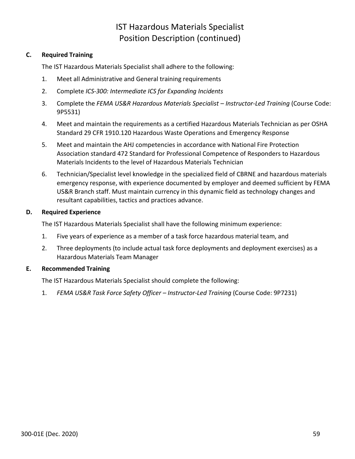# IST Hazardous Materials Specialist Position Description (continued)

## **C. Required Training**

The IST Hazardous Materials Specialist shall adhere to the following:

- 1. Meet all Administrative and General training requirements
- 2. Complete *ICS-300: Intermediate ICS for Expanding Incidents*
- 3. Complete the *FEMA US&R Hazardous Materials Specialist – Instructor-Led Training* (Course Code: 9P5531)
- 4. Meet and maintain the requirements as a certified Hazardous Materials Technician as per OSHA Standard 29 CFR 1910.120 Hazardous Waste Operations and Emergency Response
- 5. Meet and maintain the AHJ competencies in accordance with National Fire Protection Association standard 472 Standard for Professional Competence of Responders to Hazardous Materials Incidents to the level of Hazardous Materials Technician
- 6. Technician/Specialist level knowledge in the specialized field of CBRNE and hazardous materials emergency response, with experience documented by employer and deemed sufficient by FEMA US&R Branch staff. Must maintain currency in this dynamic field as technology changes and resultant capabilities, tactics and practices advance.

## **D. Required Experience**

The IST Hazardous Materials Specialist shall have the following minimum experience:

- 1. Five years of experience as a member of a task force hazardous material team, and
- 2. Three deployments (to include actual task force deployments and deployment exercises) as a Hazardous Materials Team Manager

## **E. Recommended Training**

The IST Hazardous Materials Specialist should complete the following:

1. *FEMA US&R Task Force Safety Officer – Instructor-Led Training* (Course Code: 9P7231)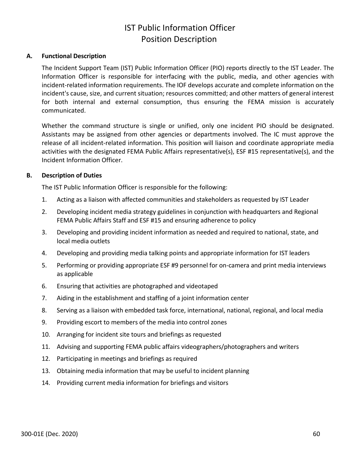# IST Public Information Officer Position Description

## **A. Functional Description**

The Incident Support Team (IST) Public Information Officer (PIO) reports directly to the IST Leader. The Information Officer is responsible for interfacing with the public, media, and other agencies with incident-related information requirements. The IOF develops accurate and complete information on the incident's cause, size, and current situation; resources committed; and other matters of general interest for both internal and external consumption, thus ensuring the FEMA mission is accurately communicated.

Whether the command structure is single or unified, only one incident PIO should be designated. Assistants may be assigned from other agencies or departments involved. The IC must approve the release of all incident-related information. This position will liaison and coordinate appropriate media activities with the designated FEMA Public Affairs representative(s), ESF #15 representative(s), and the Incident Information Officer.

#### **B. Description of Duties**

The IST Public Information Officer is responsible for the following:

- 1. Acting as a liaison with affected communities and stakeholders as requested by IST Leader
- 2. Developing incident media strategy guidelines in conjunction with headquarters and Regional FEMA Public Affairs Staff and ESF #15 and ensuring adherence to policy
- 3. Developing and providing incident information as needed and required to national, state, and local media outlets
- 4. Developing and providing media talking points and appropriate information for IST leaders
- 5. Performing or providing appropriate ESF #9 personnel for on-camera and print media interviews as applicable
- 6. Ensuring that activities are photographed and videotaped
- 7. Aiding in the establishment and staffing of a joint information center
- 8. Serving as a liaison with embedded task force, international, national, regional, and local media
- 9. Providing escort to members of the media into control zones
- 10. Arranging for incident site tours and briefings as requested
- 11. Advising and supporting FEMA public affairs videographers/photographers and writers
- 12. Participating in meetings and briefings as required
- 13. Obtaining media information that may be useful to incident planning
- 14. Providing current media information for briefings and visitors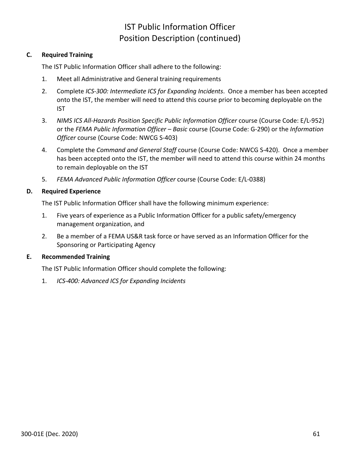# IST Public Information Officer Position Description (continued)

## **C. Required Training**

The IST Public Information Officer shall adhere to the following:

- 1. Meet all Administrative and General training requirements
- 2. Complete *ICS-300: Intermediate ICS for Expanding Incidents*. Once a member has been accepted onto the IST, the member will need to attend this course prior to becoming deployable on the IST
- 3. *NIMS ICS All-Hazards Position Specific Public Information Officer* course (Course Code: E/L-952) or the *FEMA Public Information Officer – Basic* course (Course Code: G-290) or the *Information Officer* course (Course Code: NWCG S-403)
- 4. Complete the *Command and General Staff* course (Course Code: NWCG S-420). Once a member has been accepted onto the IST, the member will need to attend this course within 24 months to remain deployable on the IST
- 5. *FEMA Advanced Public Information Officer* course (Course Code: E/L-0388)

## **D. Required Experience**

The IST Public Information Officer shall have the following minimum experience:

- 1. Five years of experience as a Public Information Officer for a public safety/emergency management organization, and
- 2. Be a member of a FEMA US&R task force or have served as an Information Officer for the Sponsoring or Participating Agency

## **E. Recommended Training**

The IST Public Information Officer should complete the following:

1. *ICS-400: Advanced ICS for Expanding Incidents*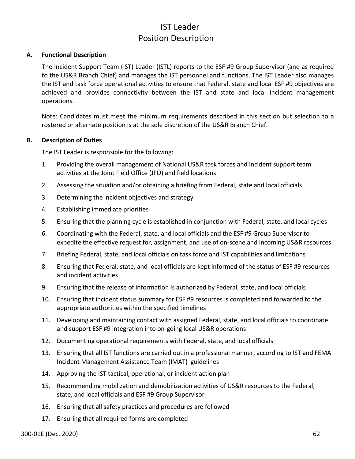# IST Leader Position Description

### **A. Functional Description**

The Incident Support Team (IST) Leader (ISTL) reports to the ESF #9 Group Supervisor (and as required to the US&R Branch Chief) and manages the IST personnel and functions. The IST Leader also manages the IST and task force operational activities to ensure that Federal, state and local ESF #9 objectives are achieved and provides connectivity between the IST and state and local incident management operations.

Note: Candidates must meet the minimum requirements described in this section but selection to a rostered or alternate position is at the sole discretion of the US&R Branch Chief.

#### **B. Description of Duties**

The IST Leader is responsible for the following:

- 1. Providing the overall management of National US&R task forces and incident support team activities at the Joint Field Office (JFO) and field locations
- 2. Assessing the situation and/or obtaining a briefing from Federal, state and local officials
- 3. Determining the incident objectives and strategy
- 4. Establishing immediate priorities
- 5. Ensuring that the planning cycle is established in conjunction with Federal, state, and local cycles
- 6. Coordinating with the Federal, state, and local officials and the ESF #9 Group Supervisor to expedite the effective request for, assignment, and use of on-scene and incoming US&R resources
- 7. Briefing Federal, state, and local officials on task force and IST capabilities and limitations
- 8. Ensuring that Federal, state, and local officials are kept informed of the status of ESF #9 resources and incident activities
- 9. Ensuring that the release of information is authorized by Federal, state, and local officials
- 10. Ensuring that incident status summary for ESF #9 resources is completed and forwarded to the appropriate authorities within the specified timelines
- 11. Developing and maintaining contact with assigned Federal, state, and local officials to coordinate and support ESF #9 integration into on-going local US&R operations
- 12. Documenting operational requirements with Federal, state, and local officials
- 13. Ensuring that all IST functions are carried out in a professional manner, according to IST and FEMA Incident Management Assistance Team (IMAT) guidelines
- 14. Approving the IST tactical, operational, or incident action plan
- 15. Recommending mobilization and demobilization activities of US&R resources to the Federal, state, and local officials and ESF #9 Group Supervisor
- 16. Ensuring that all safety practices and procedures are followed
- 17. Ensuring that all required forms are completed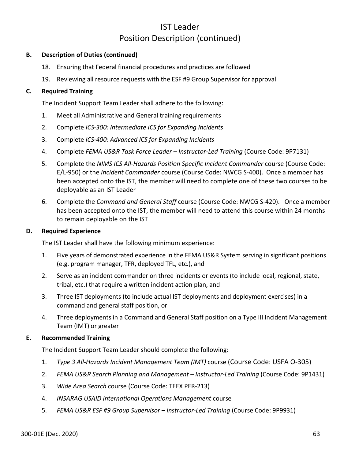## IST Leader Position Description (continued)

## **B. Description of Duties (continued)**

- 18. Ensuring that Federal financial procedures and practices are followed
- 19. Reviewing all resource requests with the ESF #9 Group Supervisor for approval

## **C. Required Training**

The Incident Support Team Leader shall adhere to the following:

- 1. Meet all Administrative and General training requirements
- 2. Complete *ICS-300: Intermediate ICS for Expanding Incidents*
- 3. Complete *ICS-400: Advanced ICS for Expanding Incidents*
- 4. Complete *FEMA US&R Task Force Leader – Instructor-Led Training* (Course Code: 9P7131)
- 5. Complete the *NIMS ICS All-Hazards Position Specific Incident Commander* course (Course Code: E/L-950) or the *Incident Commander* course (Course Code: NWCG S-400). Once a member has been accepted onto the IST, the member will need to complete one of these two courses to be deployable as an IST Leader
- 6. Complete the *Command and General Staff* course (Course Code: NWCG S-420). Once a member has been accepted onto the IST, the member will need to attend this course within 24 months to remain deployable on the IST

## **D. Required Experience**

The IST Leader shall have the following minimum experience:

- 1. Five years of demonstrated experience in the FEMA US&R System serving in significant positions (e.g. program manager, TFR, deployed TFL, etc.), and
- 2. Serve as an incident commander on three incidents or events (to include local, regional, state, tribal, etc.) that require a written incident action plan, and
- 3. Three IST deployments (to include actual IST deployments and deployment exercises) in a command and general staff position, or
- 4. Three deployments in a Command and General Staff position on a Type III Incident Management Team (IMT) or greater

## **E. Recommended Training**

The Incident Support Team Leader should complete the following:

- 1. *Type 3 All-Hazards Incident Management Team (IMT)* course (Course Code: USFA O-305)
- 2. *FEMA US&R Search Planning and Management – Instructor-Led Training* (Course Code: 9P1431)
- 3. *Wide Area Search* course (Course Code: TEEX PER-213)
- 4. *INSARAG USAID International Operations Management* course
- 5. *FEMA US&R ESF #9 Group Supervisor – Instructor-Led Training* (Course Code: 9P9931)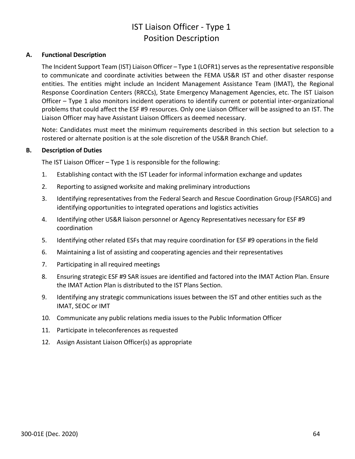# IST Liaison Officer - Type 1 Position Description

## **A. Functional Description**

The Incident Support Team (IST) Liaison Officer – Type 1 (LOFR1) serves as the representative responsible to communicate and coordinate activities between the FEMA US&R IST and other disaster response entities. The entities might include an Incident Management Assistance Team (IMAT), the Regional Response Coordination Centers (RRCCs), State Emergency Management Agencies, etc. The IST Liaison Officer – Type 1 also monitors incident operations to identify current or potential inter-organizational problems that could affect the ESF #9 resources. Only one Liaison Officer will be assigned to an IST. The Liaison Officer may have Assistant Liaison Officers as deemed necessary.

Note: Candidates must meet the minimum requirements described in this section but selection to a rostered or alternate position is at the sole discretion of the US&R Branch Chief.

#### **B. Description of Duties**

The IST Liaison Officer – Type 1 is responsible for the following:

- 1. Establishing contact with the IST Leader for informal information exchange and updates
- 2. Reporting to assigned worksite and making preliminary introductions
- 3. Identifying representatives from the Federal Search and Rescue Coordination Group (FSARCG) and identifying opportunities to integrated operations and logistics activities
- 4. Identifying other US&R liaison personnel or Agency Representatives necessary for ESF #9 coordination
- 5. Identifying other related ESFs that may require coordination for ESF #9 operations in the field
- 6. Maintaining a list of assisting and cooperating agencies and their representatives
- 7. Participating in all required meetings
- 8. Ensuring strategic ESF #9 SAR issues are identified and factored into the IMAT Action Plan. Ensure the IMAT Action Plan is distributed to the IST Plans Section.
- 9. Identifying any strategic communications issues between the IST and other entities such as the IMAT, SEOC or IMT
- 10. Communicate any public relations media issues to the Public Information Officer
- 11. Participate in teleconferences as requested
- 12. Assign Assistant Liaison Officer(s) as appropriate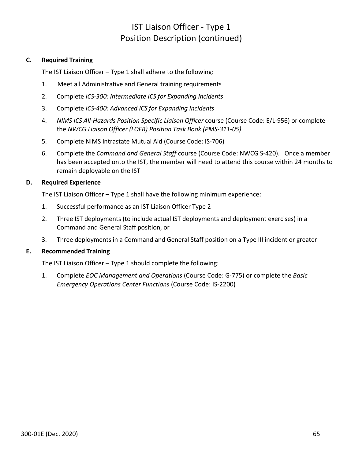## IST Liaison Officer - Type 1 Position Description (continued)

## **C. Required Training**

The IST Liaison Officer – Type 1 shall adhere to the following:

- 1. Meet all Administrative and General training requirements
- 2. Complete *ICS-300: Intermediate ICS for Expanding Incidents*
- 3. Complete *ICS-400: Advanced ICS for Expanding Incidents*
- 4. *NIMS ICS All-Hazards Position Specific Liaison Officer* course (Course Code: E/L-956) or complete the *NWCG Liaison Officer (LOFR) Position Task Book (PMS-311-05)*
- 5. Complete NIMS Intrastate Mutual Aid (Course Code: IS-706)
- 6. Complete the *Command and General Staff* course (Course Code: NWCG S-420). Once a member has been accepted onto the IST, the member will need to attend this course within 24 months to remain deployable on the IST

## **D. Required Experience**

The IST Liaison Officer – Type 1 shall have the following minimum experience:

- 1. Successful performance as an IST Liaison Officer Type 2
- 2. Three IST deployments (to include actual IST deployments and deployment exercises) in a Command and General Staff position, or
- 3. Three deployments in a Command and General Staff position on a Type III incident or greater

## **E. Recommended Training**

The IST Liaison Officer – Type 1 should complete the following:

1. Complete *EOC Management and Operations* (Course Code: G-775) or complete the *Basic Emergency Operations Center Functions* (Course Code: IS-2200)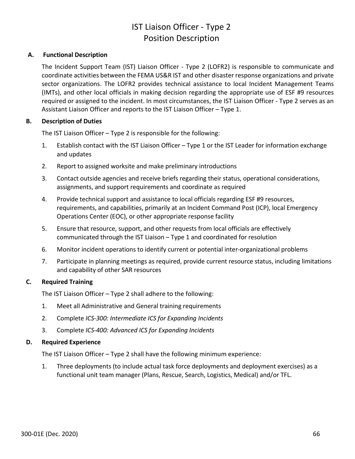# IST Liaison Officer - Type 2 Position Description

## **A. Functional Description**

The Incident Support Team (IST) Liaison Officer - Type 2 (LOFR2) is responsible to communicate and coordinate activities between the FEMA US&R IST and other disaster response organizations and private sector organizations. The LOFR2 provides technical assistance to local Incident Management Teams (IMTs), and other local officials in making decision regarding the appropriate use of ESF #9 resources required or assigned to the incident. In most circumstances, the IST Liaison Officer - Type 2 serves as an Assistant Liaison Officer and reports to the IST Liaison Officer – Type 1.

## **B. Description of Duties**

The IST Liaison Officer – Type 2 is responsible for the following:

- 1. Establish contact with the IST Liaison Officer Type 1 or the IST Leader for information exchange and updates
- 2. Report to assigned worksite and make preliminary introductions
- 3. Contact outside agencies and receive briefs regarding their status, operational considerations, assignments, and support requirements and coordinate as required
- 4. Provide technical support and assistance to local officials regarding ESF #9 resources, requirements, and capabilities, primarily at an Incident Command Post (ICP), local Emergency Operations Center (EOC), or other appropriate response facility
- 5. Ensure that resource, support, and other requests from local officials are effectively communicated through the IST Liaison – Type 1 and coordinated for resolution
- 6. Monitor incident operations to identify current or potential inter-organizational problems
- 7. Participate in planning meetings as required, provide current resource status, including limitations and capability of other SAR resources

## **C. Required Training**

The IST Liaison Officer – Type 2 shall adhere to the following:

- 1. Meet all Administrative and General training requirements
- 2. Complete *ICS-300: Intermediate ICS for Expanding Incidents*
- 3. Complete *ICS-400: Advanced ICS for Expanding Incidents*

## **D. Required Experience**

The IST Liaison Officer – Type 2 shall have the following minimum experience:

1. Three deployments (to include actual task force deployments and deployment exercises) as a functional unit team manager (Plans, Rescue, Search, Logistics, Medical) and/or TFL.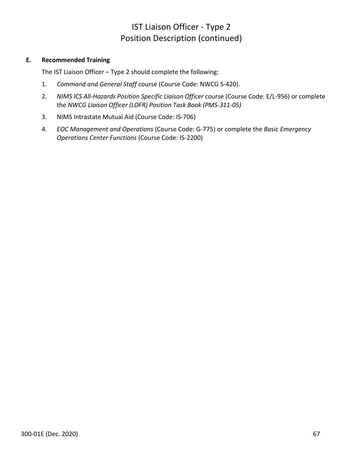# IST Liaison Officer - Type 2 Position Description (continued)

## **E. Recommended Training**

The IST Liaison Officer – Type 2 should complete the following:

- 1. *Command and General Staff* course (Course Code: NWCG S-420).
- 2. *NIMS ICS All-Hazards Position Specific Liaison Officer* course (Course Code: E/L-956) or complete the *NWCG Liaison Officer (LOFR) Position Task Book (PMS-311-05)*
- 3. NIMS Intrastate Mutual Aid (Course Code: IS-706)
- 4. *EOC Management and Operations* (Course Code: G-775) or complete the *Basic Emergency Operations Center Functions* (Course Code: IS-2200)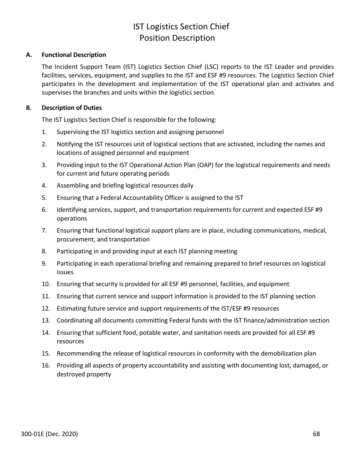## IST Logistics Section Chief Position Description

### **A. Functional Description**

The Incident Support Team (IST) Logistics Section Chief (LSC) reports to the IST Leader and provides facilities, services, equipment, and supplies to the IST and ESF #9 resources. The Logistics Section Chief participates in the development and implementation of the IST operational plan and activates and supervises the branches and units within the logistics section.

#### **B. Description of Duties**

The IST Logistics Section Chief is responsible for the following:

- 1. Supervising the IST logistics section and assigning personnel
- 2. Notifying the IST resources unit of logistical sections that are activated, including the names and locations of assigned personnel and equipment
- 3. Providing input to the IST Operational Action Plan (OAP) for the logistical requirements and needs for current and future operating periods
- 4. Assembling and briefing logistical resources daily
- 5. Ensuring that a Federal Accountability Officer is assigned to the IST
- 6. Identifying services, support, and transportation requirements for current and expected ESF #9 operations
- 7. Ensuring that functional logistical support plans are in place, including communications, medical, procurement, and transportation
- 8. Participating in and providing input at each IST planning meeting
- 9. Participating in each operational briefing and remaining prepared to brief resources on logistical issues
- 10. Ensuring that security is provided for all ESF #9 personnel, facilities, and equipment
- 11. Ensuring that current service and support information is provided to the IST planning section
- 12. Estimating future service and support requirements of the IST/ESF #9 resources
- 13. Coordinating all documents committing Federal funds with the IST finance/administration section
- 14. Ensuring that sufficient food, potable water, and sanitation needs are provided for all ESF #9 resources
- 15. Recommending the release of logistical resources in conformity with the demobilization plan
- 16. Providing all aspects of property accountability and assisting with documenting lost, damaged, or destroyed property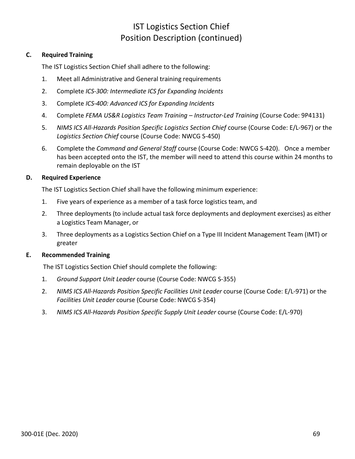## IST Logistics Section Chief Position Description (continued)

### **C. Required Training**

The IST Logistics Section Chief shall adhere to the following:

- 1. Meet all Administrative and General training requirements
- 2. Complete *ICS-300: Intermediate ICS for Expanding Incidents*
- 3. Complete *ICS-400: Advanced ICS for Expanding Incidents*
- 4. Complete *FEMA US&R Logistics Team Training – Instructor-Led Training* (Course Code: 9P4131)
- 5. *NIMS ICS All-Hazards Position Specific Logistics Section Chief* course (Course Code: E/L-967) or the *Logistics Section Chief* course (Course Code: NWCG S-450)
- 6. Complete the *Command and General Staff* course (Course Code: NWCG S-420). Once a member has been accepted onto the IST, the member will need to attend this course within 24 months to remain deployable on the IST

### **D. Required Experience**

The IST Logistics Section Chief shall have the following minimum experience:

- 1. Five years of experience as a member of a task force logistics team, and
- 2. Three deployments (to include actual task force deployments and deployment exercises) as either a Logistics Team Manager, or
- 3. Three deployments as a Logistics Section Chief on a Type III Incident Management Team (IMT) or greater

### **E. Recommended Training**

The IST Logistics Section Chief should complete the following:

- 1. *Ground Support Unit Leader* course (Course Code: NWCG S-355)
- 2. *NIMS ICS All-Hazards Position Specific Facilities Unit Leader* course (Course Code: E/L-971) or the *Facilities Unit Leader* course (Course Code: NWCG S-354)
- 3. *NIMS ICS All-Hazards Position Specific Supply Unit Leader* course (Course Code: E/L-970)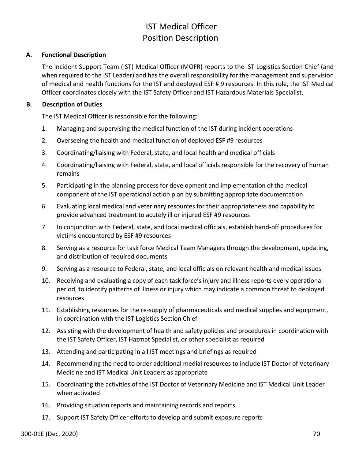# IST Medical Officer Position Description

### **A. Functional Description**

The Incident Support Team (IST) Medical Officer (MOFR) reports to the IST Logistics Section Chief (and when required to the IST Leader) and has the overall responsibility for the management and supervision of medical and health functions for the IST and deployed ESF # 9 resources. In this role, the IST Medical Officer coordinates closely with the IST Safety Officer and IST Hazardous Materials Specialist.

## **B. Description of Duties**

The IST Medical Officer is responsible for the following:

- 1. Managing and supervising the medical function of the IST during incident operations
- 2. Overseeing the health and medical function of deployed ESF #9 resources
- 3. Coordinating/liaising with Federal, state, and local health and medical officials
- 4. Coordinating/liaising with Federal, state, and local officials responsible for the recovery of human remains
- 5. Participating in the planning process for development and implementation of the medical component of the IST operational action plan by submitting appropriate documentation
- 6. Evaluating local medical and veterinary resources for their appropriateness and capability to provide advanced treatment to acutely ill or injured ESF #9 resources
- 7. In conjunction with Federal, state, and local medical officials, establish hand-off procedures for victims encountered by ESF #9 resources
- 8. Serving as a resource for task force Medical Team Managers through the development, updating, and distribution of required documents
- 9. Serving as a resource to Federal, state, and local officials on relevant health and medical issues
- 10. Receiving and evaluating a copy of each task force's injury and illness reports every operational period, to identify patterns of illness or injury which may indicate a common threat to deployed resources
- 11. Establishing resources for the re-supply of pharmaceuticals and medical supplies and equipment, in coordination with the IST Logistics Section Chief
- 12. Assisting with the development of health and safety policies and procedures in coordination with the IST Safety Officer, IST Hazmat Specialist, or other specialist as required
- 13. Attending and participating in all IST meetings and briefings as required
- 14. Recommending the need to order additional medial resources to include IST Doctor of Veterinary Medicine and IST Medical Unit Leaders as appropriate
- 15. Coordinating the activities of the IST Doctor of Veterinary Medicine and IST Medical Unit Leader when activated
- 16. Providing situation reports and maintaining records and reports
- 17. Support IST Safety Officer efforts to develop and submit exposure reports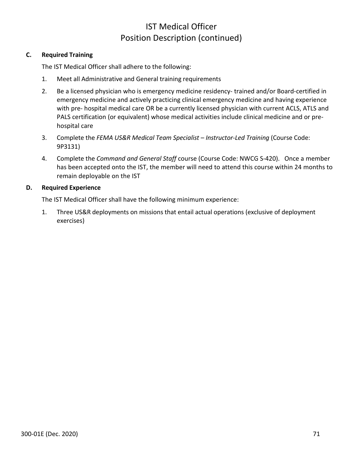## IST Medical Officer Position Description (continued)

### **C. Required Training**

The IST Medical Officer shall adhere to the following:

- 1. Meet all Administrative and General training requirements
- 2. Be a licensed physician who is emergency medicine residency- trained and/or Board-certified in emergency medicine and actively practicing clinical emergency medicine and having experience with pre- hospital medical care OR be a currently licensed physician with current ACLS, ATLS and PALS certification (or equivalent) whose medical activities include clinical medicine and or prehospital care
- 3. Complete the *FEMA US&R Medical Team Specialist – Instructor-Led Training* (Course Code: 9P3131)
- 4. Complete the *Command and General Staff* course (Course Code: NWCG S-420). Once a member has been accepted onto the IST, the member will need to attend this course within 24 months to remain deployable on the IST

### **D. Required Experience**

The IST Medical Officer shall have the following minimum experience:

1. Three US&R deployments on missions that entail actual operations (exclusive of deployment exercises)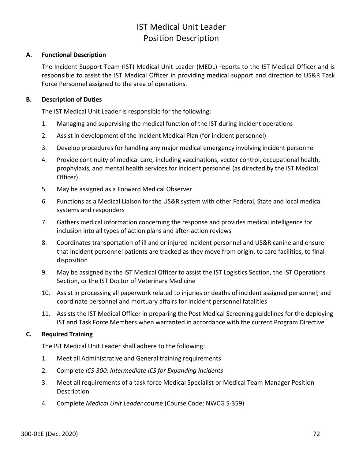# IST Medical Unit Leader Position Description

### **A. Functional Description**

The Incident Support Team (IST) Medical Unit Leader (MEDL) reports to the IST Medical Officer and is responsible to assist the IST Medical Officer in providing medical support and direction to US&R Task Force Personnel assigned to the area of operations.

#### **B. Description of Duties**

The IST Medical Unit Leader is responsible for the following:

- 1. Managing and supervising the medical function of the IST during incident operations
- 2. Assist in development of the Incident Medical Plan (for incident personnel)
- 3. Develop procedures for handling any major medical emergency involving incident personnel
- 4. Provide continuity of medical care, including vaccinations, vector control, occupational health, prophylaxis, and mental health services for incident personnel (as directed by the IST Medical Officer)
- 5. May be assigned as a Forward Medical Observer
- 6. Functions as a Medical Liaison for the US&R system with other Federal, State and local medical systems and responders
- 7. Gathers medical information concerning the response and provides medical intelligence for inclusion into all types of action plans and after-action reviews
- 8. Coordinates transportation of ill and or injured incident personnel and US&R canine and ensure that incident personnel patients are tracked as they move from origin, to care facilities, to final disposition
- 9. May be assigned by the IST Medical Officer to assist the IST Logistics Section, the IST Operations Section, or the IST Doctor of Veterinary Medicine
- 10. Assist in processing all paperwork related to injuries or deaths of incident assigned personnel; and coordinate personnel and mortuary affairs for incident personnel fatalities
- 11. Assists the IST Medical Officer in preparing the Post Medical Screening guidelines for the deploying IST and Task Force Members when warranted in accordance with the current Program Directive

#### **C. Required Training**

The IST Medical Unit Leader shall adhere to the following:

- 1. Meet all Administrative and General training requirements
- 2. Complete *ICS-300: Intermediate ICS for Expanding Incidents*
- 3. Meet all requirements of a task force Medical Specialist or Medical Team Manager Position **Description**
- 4. Complete *Medical Unit Leader* course (Course Code: NWCG S-359)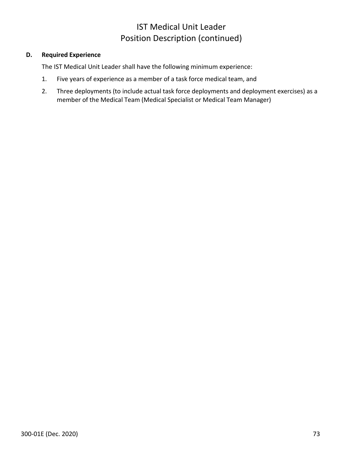# IST Medical Unit Leader Position Description (continued)

## **D. Required Experience**

The IST Medical Unit Leader shall have the following minimum experience:

- 1. Five years of experience as a member of a task force medical team, and
- 2. Three deployments (to include actual task force deployments and deployment exercises) as a member of the Medical Team (Medical Specialist or Medical Team Manager)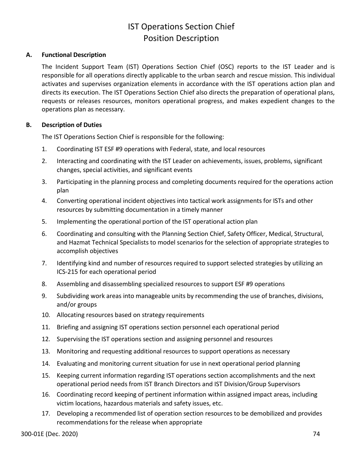# IST Operations Section Chief Position Description

### **A. Functional Description**

The Incident Support Team (IST) Operations Section Chief (OSC) reports to the IST Leader and is responsible for all operations directly applicable to the urban search and rescue mission. This individual activates and supervises organization elements in accordance with the IST operations action plan and directs its execution. The IST Operations Section Chief also directs the preparation of operational plans, requests or releases resources, monitors operational progress, and makes expedient changes to the operations plan as necessary.

### **B. Description of Duties**

The IST Operations Section Chief is responsible for the following:

- 1. Coordinating IST ESF #9 operations with Federal, state, and local resources
- 2. Interacting and coordinating with the IST Leader on achievements, issues, problems, significant changes, special activities, and significant events
- 3. Participating in the planning process and completing documents required for the operations action plan
- 4. Converting operational incident objectives into tactical work assignments for ISTs and other resources by submitting documentation in a timely manner
- 5. Implementing the operational portion of the IST operational action plan
- 6. Coordinating and consulting with the Planning Section Chief, Safety Officer, Medical, Structural, and Hazmat Technical Specialists to model scenarios for the selection of appropriate strategies to accomplish objectives
- 7. Identifying kind and number of resources required to support selected strategies by utilizing an ICS-215 for each operational period
- 8. Assembling and disassembling specialized resources to support ESF #9 operations
- 9. Subdividing work areas into manageable units by recommending the use of branches, divisions, and/or groups
- 10. Allocating resources based on strategy requirements
- 11. Briefing and assigning IST operations section personnel each operational period
- 12. Supervising the IST operations section and assigning personnel and resources
- 13. Monitoring and requesting additional resources to support operations as necessary
- 14. Evaluating and monitoring current situation for use in next operational period planning
- 15. Keeping current information regarding IST operations section accomplishments and the next operational period needs from IST Branch Directors and IST Division/Group Supervisors
- 16. Coordinating record keeping of pertinent information within assigned impact areas, including victim locations, hazardous materials and safety issues, etc.
- 17. Developing a recommended list of operation section resources to be demobilized and provides recommendations for the release when appropriate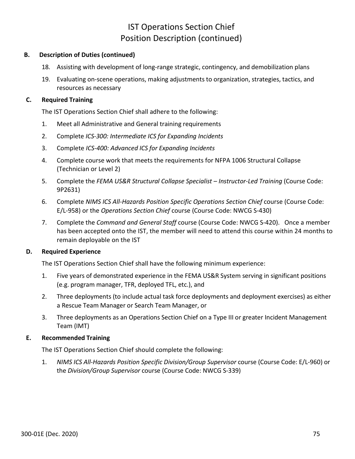## IST Operations Section Chief Position Description (continued)

### **B. Description of Duties (continued)**

- 18. Assisting with development of long-range strategic, contingency, and demobilization plans
- 19. Evaluating on-scene operations, making adjustments to organization, strategies, tactics, and resources as necessary

## **C. Required Training**

The IST Operations Section Chief shall adhere to the following:

- 1. Meet all Administrative and General training requirements
- 2. Complete *ICS-300: Intermediate ICS for Expanding Incidents*
- 3. Complete *ICS-400: Advanced ICS for Expanding Incidents*
- 4. Complete course work that meets the requirements for NFPA 1006 Structural Collapse (Technician or Level 2)
- 5. Complete the *FEMA US&R Structural Collapse Specialist – Instructor-Led Training* (Course Code: 9P2631)
- 6. Complete *NIMS ICS All-Hazards Position Specific Operations Section Chief* course (Course Code: E/L-958) or the *Operations Section Chief* course (Course Code: NWCG S-430)
- 7. Complete the *Command and General Staff* course (Course Code: NWCG S-420). Once a member has been accepted onto the IST, the member will need to attend this course within 24 months to remain deployable on the IST

### **D. Required Experience**

The IST Operations Section Chief shall have the following minimum experience:

- 1. Five years of demonstrated experience in the FEMA US&R System serving in significant positions (e.g. program manager, TFR, deployed TFL, etc.), and
- 2. Three deployments (to include actual task force deployments and deployment exercises) as either a Rescue Team Manager or Search Team Manager, or
- 3. Three deployments as an Operations Section Chief on a Type III or greater Incident Management Team (IMT)

## **E. Recommended Training**

The IST Operations Section Chief should complete the following:

1. *NIMS ICS All-Hazards Position Specific Division/Group Supervisor* course (Course Code: E/L-960) or the *Division/Group Supervisor* course (Course Code: NWCG S-339)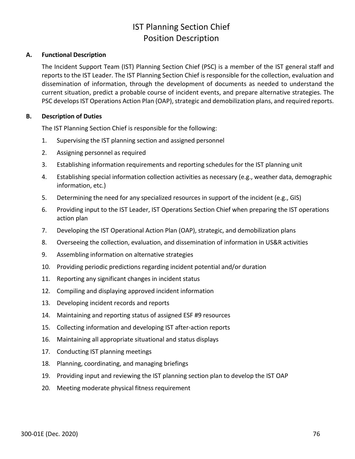# IST Planning Section Chief Position Description

### **A. Functional Description**

The Incident Support Team (IST) Planning Section Chief (PSC) is a member of the IST general staff and reports to the IST Leader. The IST Planning Section Chief is responsible for the collection, evaluation and dissemination of information, through the development of documents as needed to understand the current situation, predict a probable course of incident events, and prepare alternative strategies. The PSC develops IST Operations Action Plan (OAP), strategic and demobilization plans, and required reports.

### **B. Description of Duties**

The IST Planning Section Chief is responsible for the following:

- 1. Supervising the IST planning section and assigned personnel
- 2. Assigning personnel as required
- 3. Establishing information requirements and reporting schedules for the IST planning unit
- 4. Establishing special information collection activities as necessary (e.g., weather data, demographic information, etc.)
- 5. Determining the need for any specialized resources in support of the incident (e.g., GIS)
- 6. Providing input to the IST Leader, IST Operations Section Chief when preparing the IST operations action plan
- 7. Developing the IST Operational Action Plan (OAP), strategic, and demobilization plans
- 8. Overseeing the collection, evaluation, and dissemination of information in US&R activities
- 9. Assembling information on alternative strategies
- 10. Providing periodic predictions regarding incident potential and/or duration
- 11. Reporting any significant changes in incident status
- 12. Compiling and displaying approved incident information
- 13. Developing incident records and reports
- 14. Maintaining and reporting status of assigned ESF #9 resources
- 15. Collecting information and developing IST after-action reports
- 16. Maintaining all appropriate situational and status displays
- 17. Conducting IST planning meetings
- 18. Planning, coordinating, and managing briefings
- 19. Providing input and reviewing the IST planning section plan to develop the IST OAP
- 20. Meeting moderate physical fitness requirement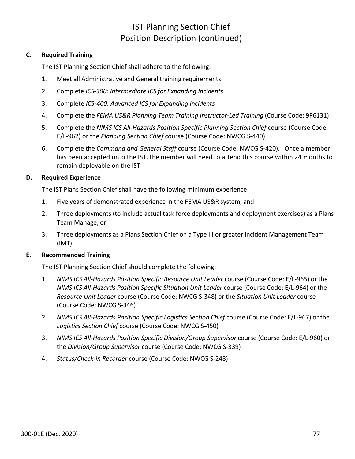## IST Planning Section Chief Position Description (continued)

### **C. Required Training**

The IST Planning Section Chief shall adhere to the following:

- 1. Meet all Administrative and General training requirements
- 2. Complete *ICS-300: Intermediate ICS for Expanding Incidents*
- 3. Complete *ICS-400: Advanced ICS for Expanding Incidents*
- 4. Complete the *FEMA US&R Planning Team Training Instructor-Led Training* (Course Code: 9P6131)
- 5. Complete the *NIMS ICS All-Hazards Position Specific Planning Section Chief* course (Course Code: E/L-962) or the *Planning Section Chief* course (Course Code: NWCG S-440)
- 6. Complete the *Command and General Staff* course (Course Code: NWCG S-420). Once a member has been accepted onto the IST, the member will need to attend this course within 24 months to remain deployable on the IST

### **D. Required Experience**

The IST Plans Section Chief shall have the following minimum experience:

- 1. Five years of demonstrated experience in the FEMA US&R system, and
- 2. Three deployments (to include actual task force deployments and deployment exercises) as a Plans Team Manage, or
- 3. Three deployments as a Plans Section Chief on a Type III or greater Incident Management Team (IMT)

### **E. Recommended Training**

The IST Planning Section Chief should complete the following:

- 1. *NIMS ICS All-Hazards Position Specific Resource Unit Leader* course (Course Code: E/L-965) or the *NIMS ICS All-Hazards Position Specific Situation Unit Leader* course (Course Code: E/L-964) or the *Resource Unit Leader* course (Course Code: NWCG S-348) or the *Situation Unit Leader* course (Course Code: NWCG S-346)
- 2. *NIMS ICS All-Hazards Position Specific Logistics Section Chief* course (Course Code: E/L-967) or the *Logistics Section Chief* course (Course Code: NWCG S-450)
- 3. *NIMS ICS All-Hazards Position Specific Division/Group Supervisor* course (Course Code: E/L-960) or the *Division/Group Supervisor* course (Course Code: NWCG S-339)
- 4. *Status/Check-in Recorder* course (Course Code: NWCG S-248)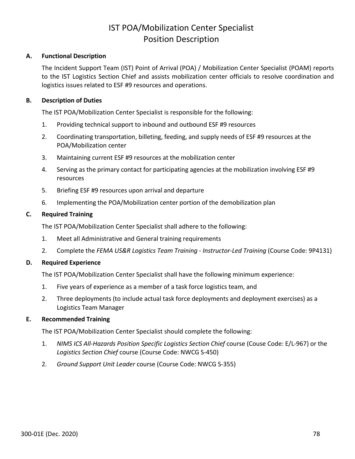## IST POA/Mobilization Center Specialist Position Description

### **A. Functional Description**

The Incident Support Team (IST) Point of Arrival (POA) / Mobilization Center Specialist (POAM) reports to the IST Logistics Section Chief and assists mobilization center officials to resolve coordination and logistics issues related to ESF #9 resources and operations.

### **B. Description of Duties**

The IST POA/Mobilization Center Specialist is responsible for the following:

- 1. Providing technical support to inbound and outbound ESF #9 resources
- 2. Coordinating transportation, billeting, feeding, and supply needs of ESF #9 resources at the POA/Mobilization center
- 3. Maintaining current ESF #9 resources at the mobilization center
- 4. Serving as the primary contact for participating agencies at the mobilization involving ESF #9 resources
- 5. Briefing ESF #9 resources upon arrival and departure
- 6. Implementing the POA/Mobilization center portion of the demobilization plan

## **C. Required Training**

The IST POA/Mobilization Center Specialist shall adhere to the following:

- 1. Meet all Administrative and General training requirements
- 2. Complete the *FEMA US&R Logistics Team Training - Instructor-Led Training* (Course Code: 9P4131)

## **D. Required Experience**

The IST POA/Mobilization Center Specialist shall have the following minimum experience:

- 1. Five years of experience as a member of a task force logistics team, and
- 2. Three deployments (to include actual task force deployments and deployment exercises) as a Logistics Team Manager

### **E. Recommended Training**

The IST POA/Mobilization Center Specialist should complete the following:

- 1. *NIMS ICS All-Hazards Position Specific Logistics Section Chief* course (Couse Code: E/L-967) or the *Logistics Section Chief* course (Course Code: NWCG S-450)
- 2. *Ground Support Unit Leader* course (Course Code: NWCG S-355)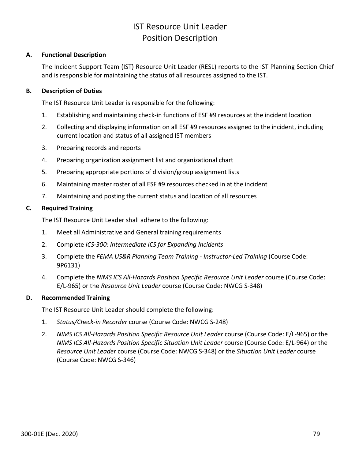## IST Resource Unit Leader Position Description

### **A. Functional Description**

The Incident Support Team (IST) Resource Unit Leader (RESL) reports to the IST Planning Section Chief and is responsible for maintaining the status of all resources assigned to the IST.

#### **B. Description of Duties**

The IST Resource Unit Leader is responsible for the following:

- 1. Establishing and maintaining check-in functions of ESF #9 resources at the incident location
- 2. Collecting and displaying information on all ESF #9 resources assigned to the incident, including current location and status of all assigned IST members
- 3. Preparing records and reports
- 4. Preparing organization assignment list and organizational chart
- 5. Preparing appropriate portions of division/group assignment lists
- 6. Maintaining master roster of all ESF #9 resources checked in at the incident
- 7. Maintaining and posting the current status and location of all resources

### **C. Required Training**

The IST Resource Unit Leader shall adhere to the following:

- 1. Meet all Administrative and General training requirements
- 2. Complete *ICS-300: Intermediate ICS for Expanding Incidents*
- 3. Complete the *FEMA US&R Planning Team Training - Instructor-Led Training* (Course Code: 9P6131)
- 4. Complete the *NIMS ICS All-Hazards Position Specific Resource Unit Leader* course (Course Code: E/L-965) or the *Resource Unit Leader* course (Course Code: NWCG S-348)

### **D. Recommended Training**

The IST Resource Unit Leader should complete the following:

- 1. *Status/Check-in Recorder* course (Course Code: NWCG S-248)
- 2. *NIMS ICS All-Hazards Position Specific Resource Unit Leader* course (Course Code: E/L-965) or the *NIMS ICS All-Hazards Position Specific Situation Unit Leader* course (Course Code: E/L-964) or the *Resource Unit Leader* course (Course Code: NWCG S-348) or the *Situation Unit Leader* course (Course Code: NWCG S-346)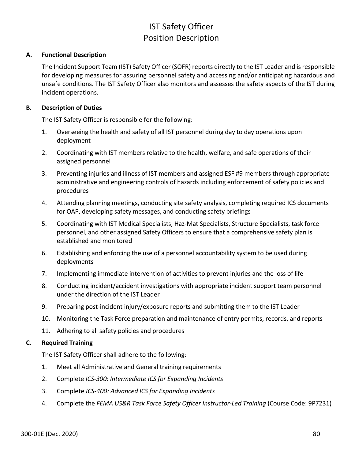# IST Safety Officer Position Description

### **A. Functional Description**

The Incident Support Team (IST) Safety Officer (SOFR) reports directly to the IST Leader and is responsible for developing measures for assuring personnel safety and accessing and/or anticipating hazardous and unsafe conditions. The IST Safety Officer also monitors and assesses the safety aspects of the IST during incident operations.

## **B. Description of Duties**

The IST Safety Officer is responsible for the following:

- 1. Overseeing the health and safety of all IST personnel during day to day operations upon deployment
- 2. Coordinating with IST members relative to the health, welfare, and safe operations of their assigned personnel
- 3. Preventing injuries and illness of IST members and assigned ESF #9 members through appropriate administrative and engineering controls of hazards including enforcement of safety policies and procedures
- 4. Attending planning meetings, conducting site safety analysis, completing required ICS documents for OAP, developing safety messages, and conducting safety briefings
- 5. Coordinating with IST Medical Specialists, Haz-Mat Specialists, Structure Specialists, task force personnel, and other assigned Safety Officers to ensure that a comprehensive safety plan is established and monitored
- 6. Establishing and enforcing the use of a personnel accountability system to be used during deployments
- 7. Implementing immediate intervention of activities to prevent injuries and the loss of life
- 8. Conducting incident/accident investigations with appropriate incident support team personnel under the direction of the IST Leader
- 9. Preparing post-incident injury/exposure reports and submitting them to the IST Leader
- 10. Monitoring the Task Force preparation and maintenance of entry permits, records, and reports
- 11. Adhering to all safety policies and procedures

### **C. Required Training**

The IST Safety Officer shall adhere to the following:

- 1. Meet all Administrative and General training requirements
- 2. Complete *ICS-300: Intermediate ICS for Expanding Incidents*
- 3. Complete *ICS-400: Advanced ICS for Expanding Incidents*
- 4. Complete the *FEMA US&R Task Force Safety Officer Instructor-Led Training* (Course Code: 9P7231)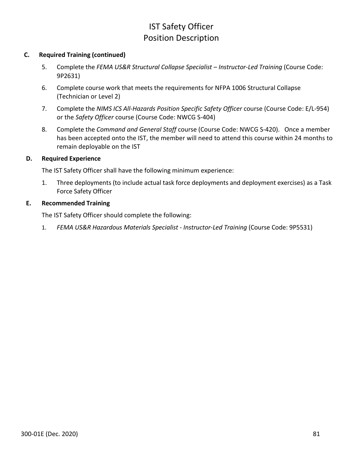# IST Safety Officer Position Description

### **C. Required Training (continued)**

- 5. Complete the *FEMA US&R Structural Collapse Specialist – Instructor-Led Training* (Course Code: 9P2631)
- 6. Complete course work that meets the requirements for NFPA 1006 Structural Collapse (Technician or Level 2)
- 7. Complete the *NIMS ICS All-Hazards Position Specific Safety Officer* course (Course Code: E/L-954) or the *Safety Officer* course (Course Code: NWCG S-404)
- 8. Complete the *Command and General Staff* course (Course Code: NWCG S-420). Once a member has been accepted onto the IST, the member will need to attend this course within 24 months to remain deployable on the IST

### **D. Required Experience**

The IST Safety Officer shall have the following minimum experience:

1. Three deployments (to include actual task force deployments and deployment exercises) as a Task Force Safety Officer

## **E. Recommended Training**

The IST Safety Officer should complete the following:

1. *FEMA US&R Hazardous Materials Specialist - Instructor-Led Training* (Course Code: 9P5531)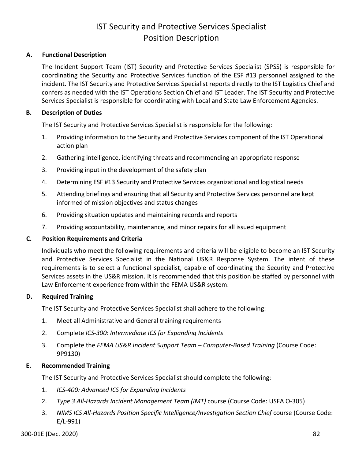# IST Security and Protective Services Specialist Position Description

## **A. Functional Description**

The Incident Support Team (IST) Security and Protective Services Specialist (SPSS) is responsible for coordinating the Security and Protective Services function of the ESF #13 personnel assigned to the incident. The IST Security and Protective Services Specialist reports directly to the IST Logistics Chief and confers as needed with the IST Operations Section Chief and IST Leader. The IST Security and Protective Services Specialist is responsible for coordinating with Local and State Law Enforcement Agencies.

### **B. Description of Duties**

The IST Security and Protective Services Specialist is responsible for the following:

- 1. Providing information to the Security and Protective Services component of the IST Operational action plan
- 2. Gathering intelligence, identifying threats and recommending an appropriate response
- 3. Providing input in the development of the safety plan
- 4. Determining ESF #13 Security and Protective Services organizational and logistical needs
- 5. Attending briefings and ensuring that all Security and Protective Services personnel are kept informed of mission objectives and status changes
- 6. Providing situation updates and maintaining records and reports
- 7. Providing accountability, maintenance, and minor repairs for all issued equipment

### **C. Position Requirements and Criteria**

Individuals who meet the following requirements and criteria will be eligible to become an IST Security and Protective Services Specialist in the National US&R Response System. The intent of these requirements is to select a functional specialist, capable of coordinating the Security and Protective Services assets in the US&R mission. It is recommended that this position be staffed by personnel with Law Enforcement experience from within the FEMA US&R system.

### **D. Required Training**

The IST Security and Protective Services Specialist shall adhere to the following:

- 1. Meet all Administrative and General training requirements
- 2. Complete *ICS-300: Intermediate ICS for Expanding Incidents*
- 3. Complete the *FEMA US&R Incident Support Team – Computer-Based Training* (Course Code: 9P9130)

### **E. Recommended Training**

The IST Security and Protective Services Specialist should complete the following:

- 1. *ICS-400: Advanced ICS for Expanding Incidents*
- 2. *Type 3 All-Hazards Incident Management Team (IMT)* course (Course Code: USFA O-305)
- 3. *NIMS ICS All-Hazards Position Specific Intelligence/Investigation Section Chief* course (Course Code: E/L-991)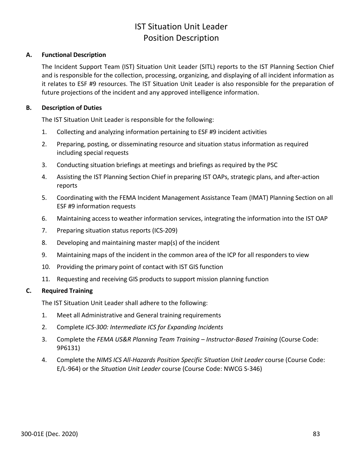# IST Situation Unit Leader Position Description

### **A. Functional Description**

The Incident Support Team (IST) Situation Unit Leader (SITL) reports to the IST Planning Section Chief and is responsible for the collection, processing, organizing, and displaying of all incident information as it relates to ESF #9 resources. The IST Situation Unit Leader is also responsible for the preparation of future projections of the incident and any approved intelligence information.

### **B. Description of Duties**

The IST Situation Unit Leader is responsible for the following:

- 1. Collecting and analyzing information pertaining to ESF #9 incident activities
- 2. Preparing, posting, or disseminating resource and situation status information as required including special requests
- 3. Conducting situation briefings at meetings and briefings as required by the PSC
- 4. Assisting the IST Planning Section Chief in preparing IST OAPs, strategic plans, and after-action reports
- 5. Coordinating with the FEMA Incident Management Assistance Team (IMAT) Planning Section on all ESF #9 information requests
- 6. Maintaining access to weather information services, integrating the information into the IST OAP
- 7. Preparing situation status reports (ICS-209)
- 8. Developing and maintaining master map(s) of the incident
- 9. Maintaining maps of the incident in the common area of the ICP for all responders to view
- 10. Providing the primary point of contact with IST GIS function
- 11. Requesting and receiving GIS products to support mission planning function

## **C. Required Training**

The IST Situation Unit Leader shall adhere to the following:

- 1. Meet all Administrative and General training requirements
- 2. Complete *ICS-300: Intermediate ICS for Expanding Incidents*
- 3. Complete the *FEMA US&R Planning Team Training – Instructor-Based Training* (Course Code: 9P6131)
- 4. Complete the *NIMS ICS All-Hazards Position Specific Situation Unit Leader* course (Course Code: E/L-964) or the *Situation Unit Leader* course (Course Code: NWCG S-346)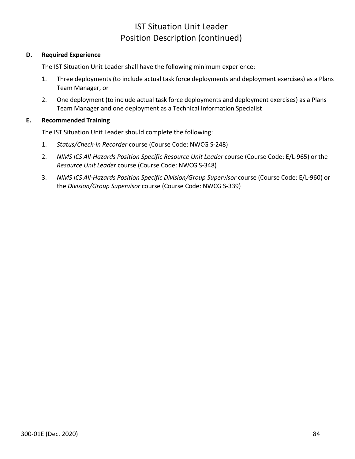## IST Situation Unit Leader Position Description (continued)

### **D. Required Experience**

The IST Situation Unit Leader shall have the following minimum experience:

- 1. Three deployments (to include actual task force deployments and deployment exercises) as a Plans Team Manager, or
- 2. One deployment (to include actual task force deployments and deployment exercises) as a Plans Team Manager and one deployment as a Technical Information Specialist

## **E. Recommended Training**

The IST Situation Unit Leader should complete the following:

- 1. *Status/Check-in Recorder* course (Course Code: NWCG S-248)
- 2. *NIMS ICS All-Hazards Position Specific Resource Unit Leader* course (Course Code: E/L-965) or the *Resource Unit Leader* course (Course Code: NWCG S-348)
- 3. *NIMS ICS All-Hazards Position Specific Division/Group Supervisor* course (Course Code: E/L-960) or the *Division/Group Supervisor* course (Course Code: NWCG S-339)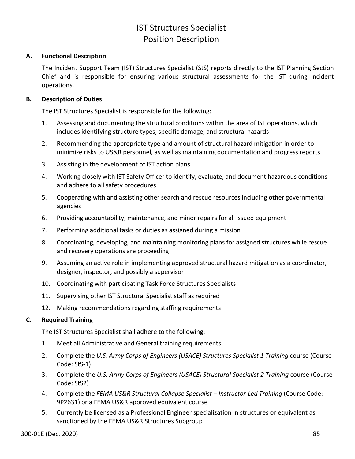# IST Structures Specialist Position Description

### **A. Functional Description**

The Incident Support Team (IST) Structures Specialist (StS) reports directly to the IST Planning Section Chief and is responsible for ensuring various structural assessments for the IST during incident operations.

## **B. Description of Duties**

The IST Structures Specialist is responsible for the following:

- 1. Assessing and documenting the structural conditions within the area of IST operations, which includes identifying structure types, specific damage, and structural hazards
- 2. Recommending the appropriate type and amount of structural hazard mitigation in order to minimize risks to US&R personnel, as well as maintaining documentation and progress reports
- 3. Assisting in the development of IST action plans
- 4. Working closely with IST Safety Officer to identify, evaluate, and document hazardous conditions and adhere to all safety procedures
- 5. Cooperating with and assisting other search and rescue resources including other governmental agencies
- 6. Providing accountability, maintenance, and minor repairs for all issued equipment
- 7. Performing additional tasks or duties as assigned during a mission
- 8. Coordinating, developing, and maintaining monitoring plans for assigned structures while rescue and recovery operations are proceeding
- 9. Assuming an active role in implementing approved structural hazard mitigation as a coordinator, designer, inspector, and possibly a supervisor
- 10. Coordinating with participating Task Force Structures Specialists
- 11. Supervising other IST Structural Specialist staff as required
- 12. Making recommendations regarding staffing requirements

## **C. Required Training**

The IST Structures Specialist shall adhere to the following:

- 1. Meet all Administrative and General training requirements
- 2. Complete the *U.S. Army Corps of Engineers (USACE) Structures Specialist 1 Training* course (Course Code: StS-1)
- 3. Complete the *U.S. Army Corps of Engineers (USACE) Structural Specialist 2 Training* course (Course Code: StS2)
- 4. Complete the *FEMA US&R Structural Collapse Specialist – Instructor-Led Training* (Course Code: 9P2631) or a FEMA US&R approved equivalent course
- 5. Currently be licensed as a Professional Engineer specialization in structures or equivalent as sanctioned by the FEMA US&R Structures Subgroup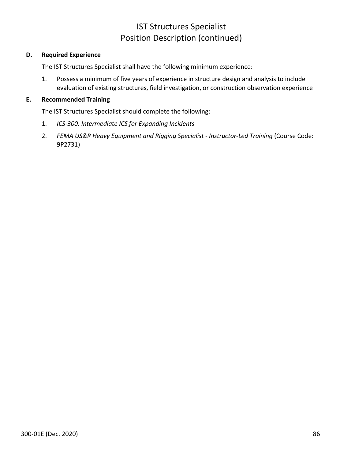## IST Structures Specialist Position Description (continued)

### **D. Required Experience**

The IST Structures Specialist shall have the following minimum experience:

1. Possess a minimum of five years of experience in structure design and analysis to include evaluation of existing structures, field investigation, or construction observation experience

#### **E. Recommended Training**

The IST Structures Specialist should complete the following:

- 1. *ICS-300: Intermediate ICS for Expanding Incidents*
- 2. *FEMA US&R Heavy Equipment and Rigging Specialist - Instructor-Led Training* (Course Code: 9P2731)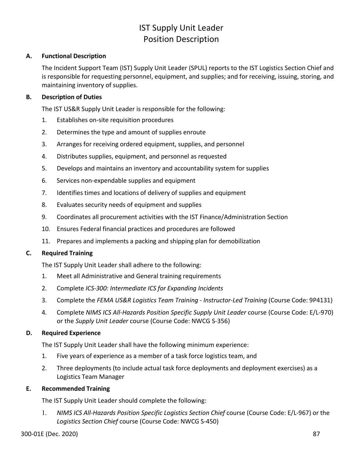# IST Supply Unit Leader Position Description

### **A. Functional Description**

The Incident Support Team (IST) Supply Unit Leader (SPUL) reports to the IST Logistics Section Chief and is responsible for requesting personnel, equipment, and supplies; and for receiving, issuing, storing, and maintaining inventory of supplies.

## **B. Description of Duties**

The IST US&R Supply Unit Leader is responsible for the following:

- 1. Establishes on-site requisition procedures
- 2. Determines the type and amount of supplies enroute
- 3. Arranges for receiving ordered equipment, supplies, and personnel
- 4. Distributes supplies, equipment, and personnel as requested
- 5. Develops and maintains an inventory and accountability system for supplies
- 6. Services non-expendable supplies and equipment
- 7. Identifies times and locations of delivery of supplies and equipment
- 8. Evaluates security needs of equipment and supplies
- 9. Coordinates all procurement activities with the IST Finance/Administration Section
- 10. Ensures Federal financial practices and procedures are followed
- 11. Prepares and implements a packing and shipping plan for demobilization

### **C. Required Training**

The IST Supply Unit Leader shall adhere to the following:

- 1. Meet all Administrative and General training requirements
- 2. Complete *ICS-300: Intermediate ICS for Expanding Incidents*
- 3. Complete the *FEMA US&R Logistics Team Training - Instructor-Led Training* (Course Code: 9P4131)
- 4. Complete *NIMS ICS All-Hazards Position Specific Supply Unit Leader* course (Course Code: E/L-970) or the *Supply Unit Leader* course (Course Code: NWCG S-356)

### **D. Required Experience**

The IST Supply Unit Leader shall have the following minimum experience:

- 1. Five years of experience as a member of a task force logistics team, and
- 2. Three deployments (to include actual task force deployments and deployment exercises) as a Logistics Team Manager

## **E. Recommended Training**

The IST Supply Unit Leader should complete the following:

1. *NIMS ICS All-Hazards Position Specific Logistics Section Chief* course (Course Code: E/L-967) or the *Logistics Section Chief* course (Course Code: NWCG S-450)